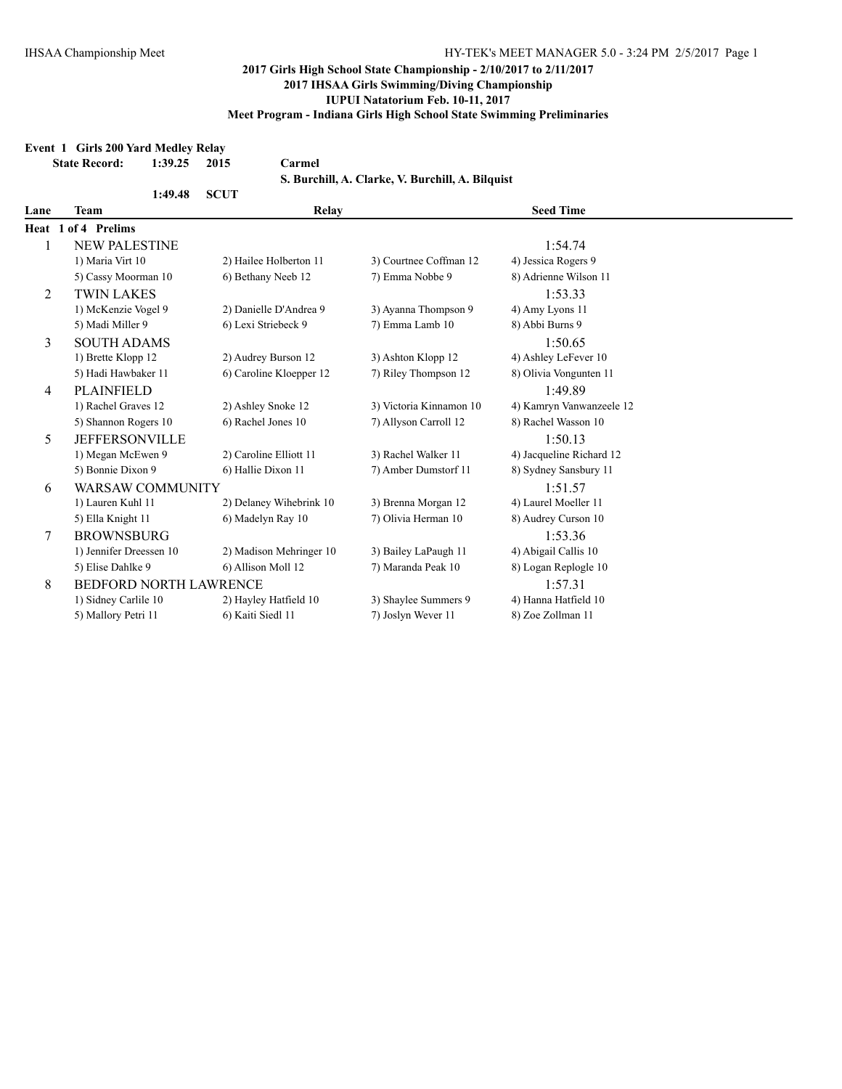|                | Event 1 Girls 200 Yard Medley Relay |         |             |                         |                                                  |                          |
|----------------|-------------------------------------|---------|-------------|-------------------------|--------------------------------------------------|--------------------------|
|                | <b>State Record:</b>                | 1:39.25 | 2015        | Carmel                  |                                                  |                          |
|                |                                     |         |             |                         | S. Burchill, A. Clarke, V. Burchill, A. Bilquist |                          |
|                |                                     | 1:49.48 | <b>SCUT</b> |                         |                                                  |                          |
| Lane           | Team                                |         |             | Relay                   |                                                  | <b>Seed Time</b>         |
|                | Heat 1 of 4 Prelims                 |         |             |                         |                                                  |                          |
| 1              | <b>NEW PALESTINE</b>                |         |             |                         |                                                  | 1:54.74                  |
|                | 1) Maria Virt 10                    |         |             | 2) Hailee Holberton 11  | 3) Courtnee Coffman 12                           | 4) Jessica Rogers 9      |
|                | 5) Cassy Moorman 10                 |         |             | 6) Bethany Neeb 12      | 7) Emma Nobbe 9                                  | 8) Adrienne Wilson 11    |
| $\overline{2}$ | <b>TWIN LAKES</b>                   |         |             |                         |                                                  | 1:53.33                  |
|                | 1) McKenzie Vogel 9                 |         |             | 2) Danielle D'Andrea 9  | 3) Ayanna Thompson 9                             | 4) Amy Lyons 11          |
|                | 5) Madi Miller 9                    |         |             | 6) Lexi Striebeck 9     | 7) Emma Lamb 10                                  | 8) Abbi Burns 9          |
| 3              | <b>SOUTH ADAMS</b>                  |         |             |                         |                                                  | 1:50.65                  |
|                | 1) Brette Klopp 12                  |         |             | 2) Audrey Burson 12     | 3) Ashton Klopp 12                               | 4) Ashley LeFever 10     |
|                | 5) Hadi Hawbaker 11                 |         |             | 6) Caroline Kloepper 12 | 7) Riley Thompson 12                             | 8) Olivia Vongunten 11   |
| 4              | <b>PLAINFIELD</b>                   |         |             |                         |                                                  | 1:49.89                  |
|                | 1) Rachel Graves 12                 |         |             | 2) Ashley Snoke 12      | 3) Victoria Kinnamon 10                          | 4) Kamryn Vanwanzeele 12 |
|                | 5) Shannon Rogers 10                |         |             | 6) Rachel Jones 10      | 7) Allyson Carroll 12                            | 8) Rachel Wasson 10      |
| 5              | <b>JEFFERSONVILLE</b>               |         |             |                         |                                                  | 1:5013                   |
|                | 1) Megan McEwen 9                   |         |             | 2) Caroline Elliott 11  | 3) Rachel Walker 11                              | 4) Jacqueline Richard 12 |
|                | 5) Bonnie Dixon 9                   |         |             | 6) Hallie Dixon 11      | 7) Amber Dumstorf 11                             | 8) Sydney Sansbury 11    |
| 6              | <b>WARSAW COMMUNITY</b>             |         |             |                         |                                                  | 1:51.57                  |
|                | 1) Lauren Kuhl 11                   |         |             | 2) Delaney Wihebrink 10 | 3) Brenna Morgan 12                              | 4) Laurel Moeller 11     |
|                | 5) Ella Knight 11                   |         |             | 6) Madelyn Ray 10       | 7) Olivia Herman 10                              | 8) Audrey Curson 10      |
| $\overline{7}$ | <b>BROWNSBURG</b>                   |         |             |                         |                                                  | 1:53.36                  |
|                | 1) Jennifer Dreessen 10             |         |             | 2) Madison Mehringer 10 | 3) Bailey LaPaugh 11                             | 4) Abigail Callis 10     |
|                | 5) Elise Dahlke 9                   |         |             | 6) Allison Moll 12      | 7) Maranda Peak 10                               | 8) Logan Replogle 10     |
| 8              | <b>BEDFORD NORTH LAWRENCE</b>       |         |             |                         |                                                  | 1:57.31                  |
|                | 1) Sidney Carlile 10                |         |             | 2) Hayley Hatfield 10   | 3) Shaylee Summers 9                             | 4) Hanna Hatfield 10     |
|                | 5) Mallory Petri 11                 |         |             | 6) Kaiti Siedl 11       | 7) Joslyn Wever 11                               | 8) Zoe Zollman 11        |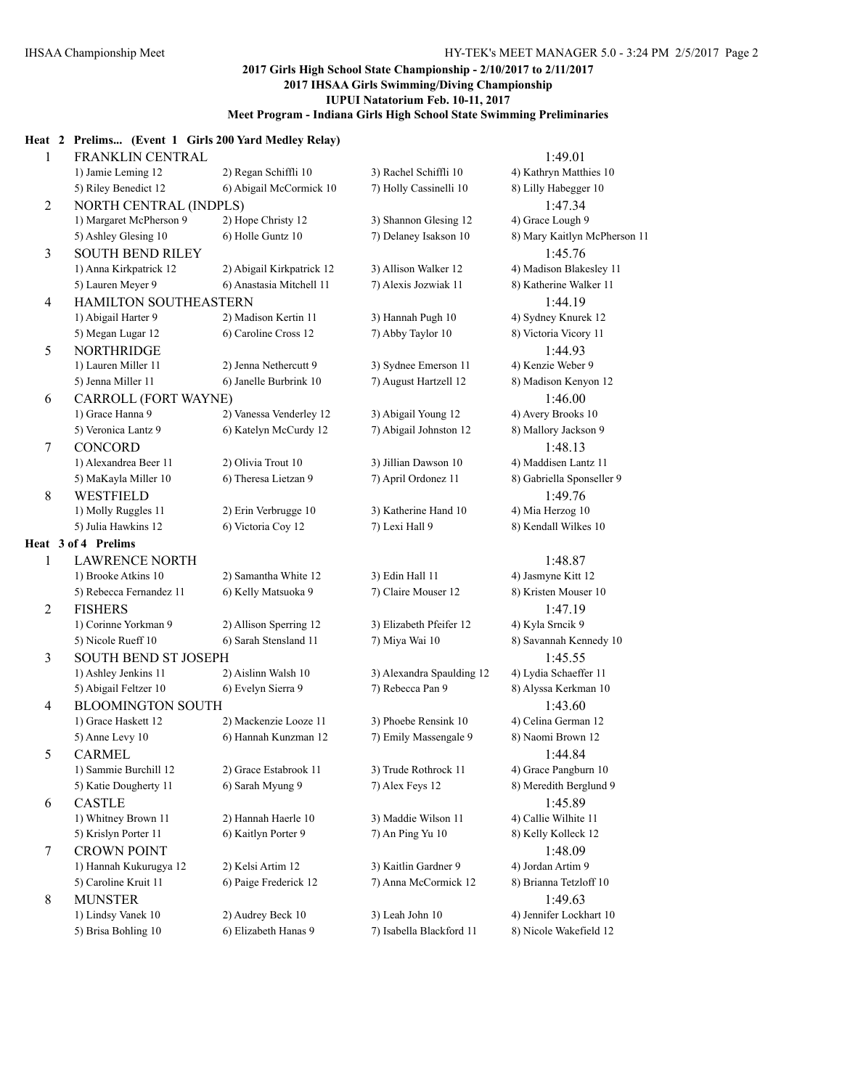#### **Heat 2 Prelims... (Event 1 Girls 200 Yard Medley Relay)**

| $\mathbf{1}$   | FRANKLIN CENTRAL            |                           |                           | 1:49.01                      |
|----------------|-----------------------------|---------------------------|---------------------------|------------------------------|
|                | 1) Jamie Leming 12          | 2) Regan Schiffli 10      | 3) Rachel Schiffli 10     | 4) Kathryn Matthies 10       |
|                | 5) Riley Benedict 12        | 6) Abigail McCormick 10   | 7) Holly Cassinelli 10    | 8) Lilly Habegger 10         |
| $\overline{2}$ | NORTH CENTRAL (INDPLS)      |                           |                           | 1:47.34                      |
|                | 1) Margaret McPherson 9     | 2) Hope Christy 12        | 3) Shannon Glesing 12     | 4) Grace Lough 9             |
|                | 5) Ashley Glesing 10        | 6) Holle Guntz 10         | 7) Delaney Isakson 10     | 8) Mary Kaitlyn McPherson 11 |
| 3              | <b>SOUTH BEND RILEY</b>     |                           |                           | 1:45.76                      |
|                | 1) Anna Kirkpatrick 12      | 2) Abigail Kirkpatrick 12 | 3) Allison Walker 12      | 4) Madison Blakesley 11      |
|                | 5) Lauren Meyer 9           | 6) Anastasia Mitchell 11  | 7) Alexis Jozwiak 11      | 8) Katherine Walker 11       |
| $\overline{4}$ | HAMILTON SOUTHEASTERN       |                           |                           | 1:44.19                      |
|                | 1) Abigail Harter 9         | 2) Madison Kertin 11      | 3) Hannah Pugh 10         | 4) Sydney Knurek 12          |
|                | 5) Megan Lugar 12           | 6) Caroline Cross 12      | 7) Abby Taylor 10         | 8) Victoria Vicory 11        |
| 5              | <b>NORTHRIDGE</b>           |                           |                           | 1:44.93                      |
|                | 1) Lauren Miller 11         | 2) Jenna Nethercutt 9     | 3) Sydnee Emerson 11      | 4) Kenzie Weber 9            |
|                | 5) Jenna Miller 11          | 6) Janelle Burbrink 10    | 7) August Hartzell 12     | 8) Madison Kenyon 12         |
| 6              | CARROLL (FORT WAYNE)        |                           |                           | 1:46.00                      |
|                | 1) Grace Hanna 9            | 2) Vanessa Venderley 12   | 3) Abigail Young 12       | 4) Avery Brooks 10           |
|                | 5) Veronica Lantz 9         | 6) Katelyn McCurdy 12     | 7) Abigail Johnston 12    | 8) Mallory Jackson 9         |
| 7              | <b>CONCORD</b>              |                           |                           | 1:48.13                      |
|                | 1) Alexandrea Beer 11       | 2) Olivia Trout 10        | 3) Jillian Dawson 10      | 4) Maddisen Lantz 11         |
|                | 5) MaKayla Miller 10        | 6) Theresa Lietzan 9      | 7) April Ordonez 11       | 8) Gabriella Sponseller 9    |
| $\,8\,$        | <b>WESTFIELD</b>            |                           |                           | 1:49.76                      |
|                | 1) Molly Ruggles 11         | 2) Erin Verbrugge 10      | 3) Katherine Hand 10      | 4) Mia Herzog 10             |
|                | 5) Julia Hawkins 12         | 6) Victoria Coy 12        | 7) Lexi Hall 9            | 8) Kendall Wilkes 10         |
|                | Heat 3 of 4 Prelims         |                           |                           |                              |
| $\mathbf{1}$   | <b>LAWRENCE NORTH</b>       |                           |                           | 1:48.87                      |
|                | 1) Brooke Atkins 10         | 2) Samantha White 12      | 3) Edin Hall 11           | 4) Jasmyne Kitt 12           |
|                | 5) Rebecca Fernandez 11     | 6) Kelly Matsuoka 9       | 7) Claire Mouser 12       | 8) Kristen Mouser 10         |
| $\overline{2}$ | <b>FISHERS</b>              |                           |                           | 1:47.19                      |
|                | 1) Corinne Yorkman 9        | 2) Allison Sperring 12    | 3) Elizabeth Pfeifer 12   | 4) Kyla Srncik 9             |
|                | 5) Nicole Rueff 10          | 6) Sarah Stensland 11     | 7) Miya Wai 10            | 8) Savannah Kennedy 10       |
| 3              | <b>SOUTH BEND ST JOSEPH</b> |                           |                           | 1:45.55                      |
|                | 1) Ashley Jenkins 11        | 2) Aislinn Walsh 10       | 3) Alexandra Spaulding 12 | 4) Lydia Schaeffer 11        |
|                | 5) Abigail Feltzer 10       | 6) Evelyn Sierra 9        | 7) Rebecca Pan 9          | 8) Alyssa Kerkman 10         |
| $\overline{4}$ | <b>BLOOMINGTON SOUTH</b>    |                           |                           | 1:43.60                      |
|                | 1) Grace Haskett 12         | 2) Mackenzie Looze 11     | 3) Phoebe Rensink 10      | 4) Celina German 12          |
|                | 5) Anne Levy 10             | 6) Hannah Kunzman 12      | 7) Emily Massengale 9     | 8) Naomi Brown 12            |
| 5              | <b>CARMEL</b>               |                           |                           | 1:44.84                      |
|                | 1) Sammie Burchill 12       | 2) Grace Estabrook 11     | 3) Trude Rothrock 11      | 4) Grace Pangburn 10         |
|                | 5) Katie Dougherty 11       | 6) Sarah Myung 9          | 7) Alex Feys 12           | 8) Meredith Berglund 9       |
| 6              | <b>CASTLE</b>               |                           |                           | 1:45.89                      |
|                | 1) Whitney Brown 11         | 2) Hannah Haerle 10       | 3) Maddie Wilson 11       | 4) Callie Wilhite 11         |
|                | 5) Krislyn Porter 11        | 6) Kaitlyn Porter 9       | 7) An Ping Yu 10          | 8) Kelly Kolleck 12          |
| 7              | <b>CROWN POINT</b>          |                           |                           | 1:48.09                      |
|                | 1) Hannah Kukurugya 12      | 2) Kelsi Artim 12         | 3) Kaitlin Gardner 9      | 4) Jordan Artim 9            |
|                | 5) Caroline Kruit 11        | 6) Paige Frederick 12     | 7) Anna McCormick 12      | 8) Brianna Tetzloff 10       |
| 8              | <b>MUNSTER</b>              |                           |                           | 1:49.63                      |
|                | 1) Lindsy Vanek 10          | 2) Audrey Beck 10         | 3) Leah John 10           | 4) Jennifer Lockhart 10      |
|                | 5) Brisa Bohling 10         | 6) Elizabeth Hanas 9      | 7) Isabella Blackford 11  | 8) Nicole Wakefield 12       |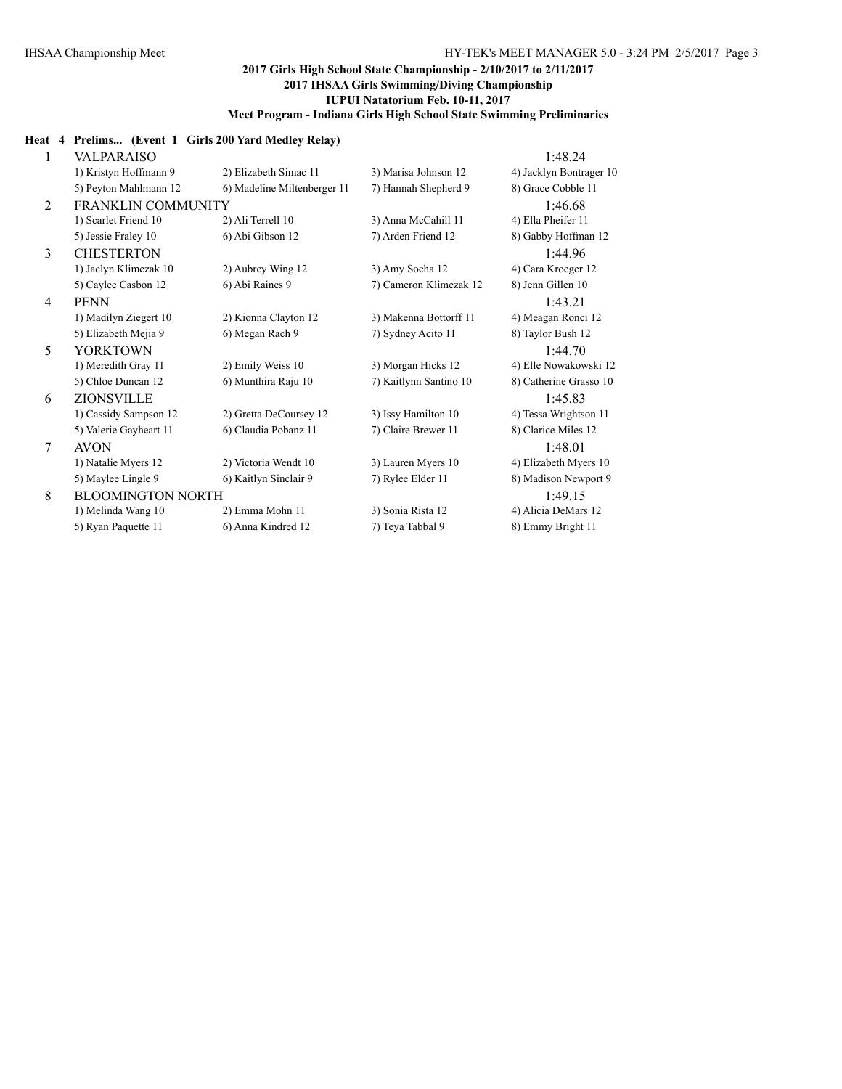#### **Heat 4 Prelims... (Event 1 Girls 200 Yard Medley Relay)**

| 1 | VALPARAISO                |                             |                        | 1:48.24                 |
|---|---------------------------|-----------------------------|------------------------|-------------------------|
|   | 1) Kristyn Hoffmann 9     | 2) Elizabeth Simac 11       | 3) Marisa Johnson 12   | 4) Jacklyn Bontrager 10 |
|   | 5) Peyton Mahlmann 12     | 6) Madeline Miltenberger 11 | 7) Hannah Shepherd 9   | 8) Grace Cobble 11      |
| 2 | <b>FRANKLIN COMMUNITY</b> |                             |                        | 1:46.68                 |
|   | 1) Scarlet Friend 10      | 2) Ali Terrell 10           | 3) Anna McCahill 11    | 4) Ella Pheifer 11      |
|   | 5) Jessie Fraley 10       | 6) Abi Gibson 12            | 7) Arden Friend 12     | 8) Gabby Hoffman 12     |
| 3 | <b>CHESTERTON</b>         |                             |                        | 1:44.96                 |
|   | 1) Jaclyn Klimczak 10     | 2) Aubrey Wing 12           | 3) Amy Socha 12        | 4) Cara Kroeger 12      |
|   | 5) Caylee Casbon 12       | 6) Abi Raines 9             | 7) Cameron Klimczak 12 | 8) Jenn Gillen 10       |
| 4 | <b>PENN</b>               |                             |                        | 1:43.21                 |
|   | 1) Madilyn Ziegert 10     | 2) Kionna Clayton 12        | 3) Makenna Bottorff 11 | 4) Meagan Ronci 12      |
|   | 5) Elizabeth Mejia 9      | 6) Megan Rach 9             | 7) Sydney Acito 11     | 8) Taylor Bush 12       |
| 5 | <b>YORKTOWN</b>           |                             |                        | 1:44.70                 |
|   | 1) Meredith Gray 11       | 2) Emily Weiss 10           | 3) Morgan Hicks 12     | 4) Elle Nowakowski 12   |
|   | 5) Chloe Duncan 12        | 6) Munthira Raju 10         | 7) Kaitlynn Santino 10 | 8) Catherine Grasso 10  |
| 6 | ZIONSVILLE                |                             |                        | 1:45.83                 |
|   | 1) Cassidy Sampson 12     | 2) Gretta DeCoursey 12      | 3) Issy Hamilton 10    | 4) Tessa Wrightson 11   |
|   | 5) Valerie Gayheart 11    | 6) Claudia Pobanz 11        | 7) Claire Brewer 11    | 8) Clarice Miles 12     |
| 7 | <b>AVON</b>               |                             |                        | 1:48.01                 |
|   | 1) Natalie Myers 12       | 2) Victoria Wendt 10        | 3) Lauren Myers 10     | 4) Elizabeth Myers 10   |
|   | 5) Maylee Lingle 9        | 6) Kaitlyn Sinclair 9       | 7) Rylee Elder 11      | 8) Madison Newport 9    |
| 8 | <b>BLOOMINGTON NORTH</b>  |                             |                        | 1:49.15                 |
|   | 1) Melinda Wang 10        | 2) Emma Mohn 11             | 3) Sonia Rista 12      | 4) Alicia DeMars 12     |
|   | 5) Ryan Paquette 11       | 6) Anna Kindred 12          | 7) Teva Tabbal 9       | 8) Emmy Bright 11       |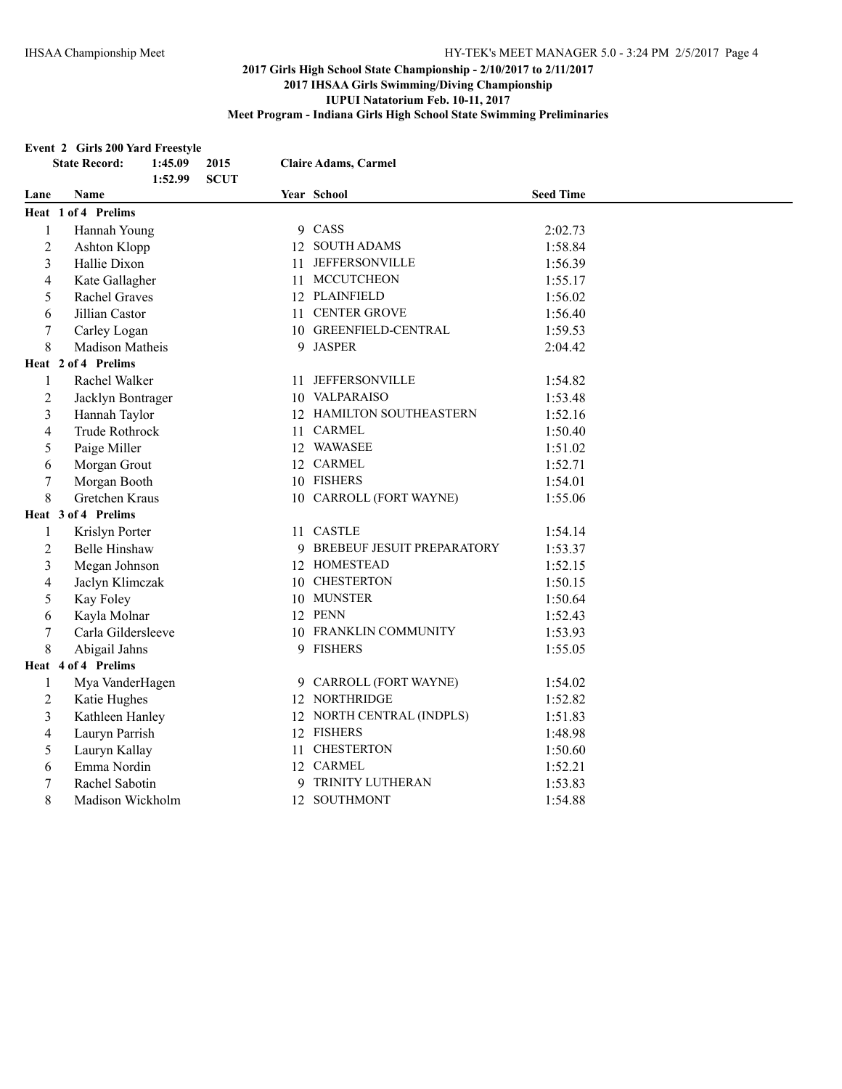#### **Event 2 Girls 200 Yard Freestyle**

|                  | <b>State Record:</b> | 1:45.09 | 2015        |    | <b>Claire Adams, Carmel</b>  |                  |
|------------------|----------------------|---------|-------------|----|------------------------------|------------------|
|                  |                      | 1:52.99 | <b>SCUT</b> |    |                              |                  |
| Lane             | Name                 |         |             |    | Year School                  | <b>Seed Time</b> |
|                  | Heat 1 of 4 Prelims  |         |             |    |                              |                  |
| $\mathbf{1}$     | Hannah Young         |         |             |    | 9 CASS                       | 2:02.73          |
| $\overline{2}$   | Ashton Klopp         |         |             |    | 12 SOUTH ADAMS               | 1:58.84          |
| 3                | Hallie Dixon         |         |             | 11 | <b>JEFFERSONVILLE</b>        | 1:56.39          |
| $\overline{4}$   | Kate Gallagher       |         |             | 11 | <b>MCCUTCHEON</b>            | 1:55.17          |
| 5                | <b>Rachel Graves</b> |         |             |    | 12 PLAINFIELD                | 1:56.02          |
| 6                | Jillian Castor       |         |             |    | 11 CENTER GROVE              | 1:56.40          |
| 7                | Carley Logan         |         |             |    | 10 GREENFIELD-CENTRAL        | 1:59.53          |
| 8                | Madison Matheis      |         |             |    | 9 JASPER                     | 2:04.42          |
|                  | Heat 2 of 4 Prelims  |         |             |    |                              |                  |
| $\mathbf{1}$     | Rachel Walker        |         |             |    | 11 JEFFERSONVILLE            | 1:54.82          |
| $\boldsymbol{2}$ | Jacklyn Bontrager    |         |             |    | 10 VALPARAISO                | 1:53.48          |
| 3                | Hannah Taylor        |         |             |    | 12 HAMILTON SOUTHEASTERN     | 1:52.16          |
| 4                | Trude Rothrock       |         |             |    | 11 CARMEL                    | 1:50.40          |
| 5                | Paige Miller         |         |             |    | 12 WAWASEE                   | 1:51.02          |
| 6                | Morgan Grout         |         |             |    | 12 CARMEL                    | 1:52.71          |
| $\tau$           | Morgan Booth         |         |             |    | 10 FISHERS                   | 1:54.01          |
| 8                | Gretchen Kraus       |         |             |    | 10 CARROLL (FORT WAYNE)      | 1:55.06          |
|                  | Heat 3 of 4 Prelims  |         |             |    |                              |                  |
| $\mathbf{1}$     | Krislyn Porter       |         |             |    | 11 CASTLE                    | 1:54.14          |
| $\overline{c}$   | <b>Belle Hinshaw</b> |         |             |    | 9 BREBEUF JESUIT PREPARATORY | 1:53.37          |
| 3                | Megan Johnson        |         |             |    | 12 HOMESTEAD                 | 1:52.15          |
| 4                | Jaclyn Klimczak      |         |             |    | 10 CHESTERTON                | 1:50.15          |
| 5                | Kay Foley            |         |             |    | 10 MUNSTER                   | 1:50.64          |
| 6                | Kayla Molnar         |         |             |    | 12 PENN                      | 1:52.43          |
| 7                | Carla Gildersleeve   |         |             |    | 10 FRANKLIN COMMUNITY        | 1:53.93          |
| 8                | Abigail Jahns        |         |             |    | 9 FISHERS                    | 1:55.05          |
|                  | Heat 4 of 4 Prelims  |         |             |    |                              |                  |
| 1                | Mya VanderHagen      |         |             |    | 9 CARROLL (FORT WAYNE)       | 1:54.02          |
| 2                | Katie Hughes         |         |             |    | 12 NORTHRIDGE                | 1:52.82          |
| 3                | Kathleen Hanley      |         |             |    | 12 NORTH CENTRAL (INDPLS)    | 1:51.83          |
| 4                | Lauryn Parrish       |         |             |    | 12 FISHERS                   | 1:48.98          |
| 5                | Lauryn Kallay        |         |             | 11 | <b>CHESTERTON</b>            | 1:50.60          |
| 6                | Emma Nordin          |         |             |    | 12 CARMEL                    | 1:52.21          |
| $\tau$           | Rachel Sabotin       |         |             | 9  | TRINITY LUTHERAN             | 1:53.83          |
| 8                | Madison Wickholm     |         |             |    | 12 SOUTHMONT                 | 1:54.88          |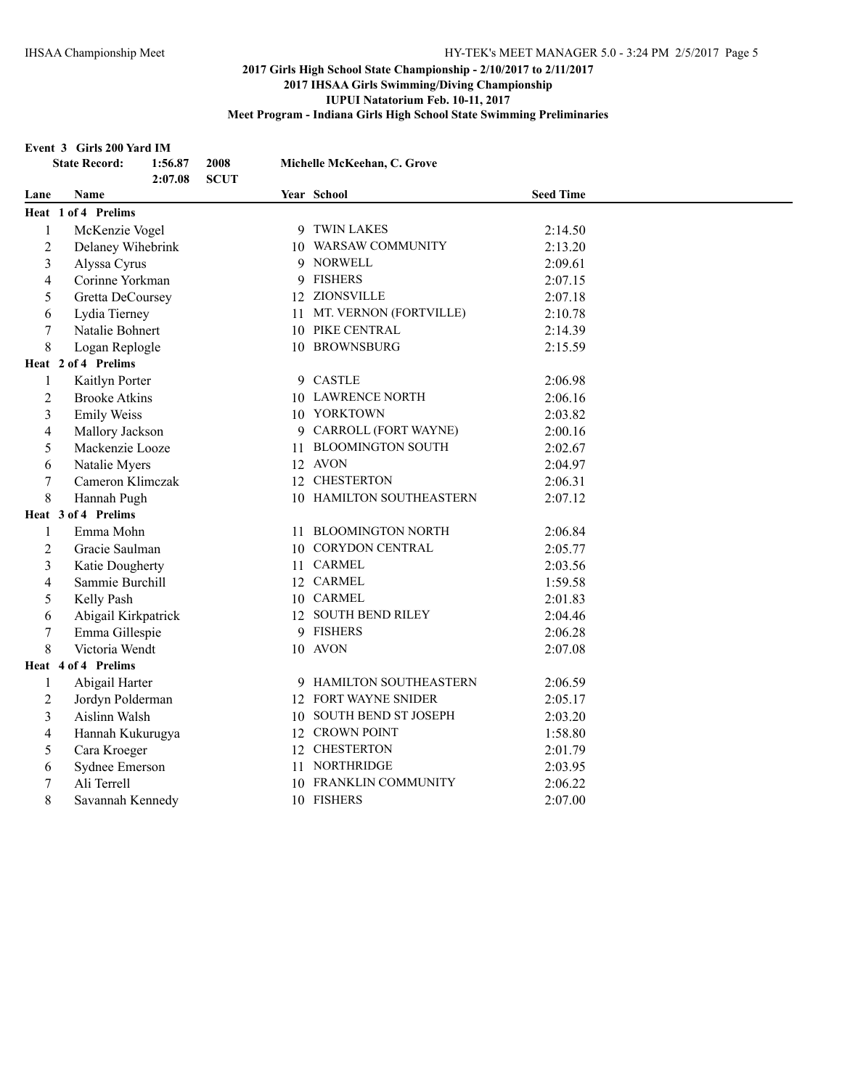#### **Event 3 Girls 200 Yard IM**

|                | <b>State Record:</b><br>2008<br>1:56.87<br><b>SCUT</b><br>2:07.08 | Michelle McKeehan, C. Grove |                  |
|----------------|-------------------------------------------------------------------|-----------------------------|------------------|
| Lane           | Name                                                              | Year School                 | <b>Seed Time</b> |
|                | Heat 1 of 4 Prelims                                               |                             |                  |
| $\mathbf{1}$   | McKenzie Vogel                                                    | 9 TWIN LAKES                | 2:14.50          |
| $\overline{c}$ | Delaney Wihebrink                                                 | 10 WARSAW COMMUNITY         | 2:13.20          |
| 3              | Alyssa Cyrus                                                      | 9 NORWELL                   | 2:09.61          |
| 4              | Corinne Yorkman                                                   | 9 FISHERS                   | 2:07.15          |
| 5              | Gretta DeCoursey                                                  | 12 ZIONSVILLE               | 2:07.18          |
| 6              | Lydia Tierney                                                     | 11 MT. VERNON (FORTVILLE)   | 2:10.78          |
| 7              | Natalie Bohnert                                                   | 10 PIKE CENTRAL             | 2:14.39          |
| 8              | Logan Replogle                                                    | 10 BROWNSBURG               | 2:15.59          |
|                | Heat 2 of 4 Prelims                                               |                             |                  |
| 1              | Kaitlyn Porter                                                    | 9 CASTLE                    | 2:06.98          |
| 2              | <b>Brooke Atkins</b>                                              | 10 LAWRENCE NORTH           | 2:06.16          |
| 3              | <b>Emily Weiss</b>                                                | 10 YORKTOWN                 | 2:03.82          |
| 4              | Mallory Jackson                                                   | 9 CARROLL (FORT WAYNE)      | 2:00.16          |
| 5              | Mackenzie Looze                                                   | 11 BLOOMINGTON SOUTH        | 2:02.67          |
| 6              | Natalie Myers                                                     | 12 AVON                     | 2:04.97          |
| 7              | Cameron Klimczak                                                  | 12 CHESTERTON               | 2:06.31          |
| 8              | Hannah Pugh                                                       | 10 HAMILTON SOUTHEASTERN    | 2:07.12          |
|                | Heat 3 of 4 Prelims                                               |                             |                  |
| 1              | Emma Mohn                                                         | 11 BLOOMINGTON NORTH        | 2:06.84          |
| $\overline{2}$ | Gracie Saulman                                                    | 10 CORYDON CENTRAL          | 2:05.77          |
| 3              | Katie Dougherty                                                   | 11 CARMEL                   | 2:03.56          |
| 4              | Sammie Burchill                                                   | 12 CARMEL                   | 1:59.58          |
| 5              | Kelly Pash                                                        | 10 CARMEL                   | 2:01.83          |
| 6              | Abigail Kirkpatrick                                               | 12 SOUTH BEND RILEY         | 2:04.46          |
| 7              | Emma Gillespie                                                    | 9 FISHERS                   | 2:06.28          |
| 8              | Victoria Wendt                                                    | 10 AVON                     | 2:07.08          |
|                | Heat 4 of 4 Prelims                                               |                             |                  |
| 1              | Abigail Harter                                                    | 9 HAMILTON SOUTHEASTERN     | 2:06.59          |
| 2              | Jordyn Polderman                                                  | 12 FORT WAYNE SNIDER        | 2:05.17          |
| 3              | Aislinn Walsh                                                     | 10 SOUTH BEND ST JOSEPH     | 2:03.20          |
| 4              | Hannah Kukurugya                                                  | 12 CROWN POINT              | 1:58.80          |
| 5              | Cara Kroeger                                                      | 12 CHESTERTON               | 2:01.79          |
| 6              | Sydnee Emerson                                                    | 11 NORTHRIDGE               | 2:03.95          |
| 7              | Ali Terrell                                                       | 10 FRANKLIN COMMUNITY       | 2:06.22          |
| 8              | Savannah Kennedy                                                  | 10 FISHERS                  | 2:07.00          |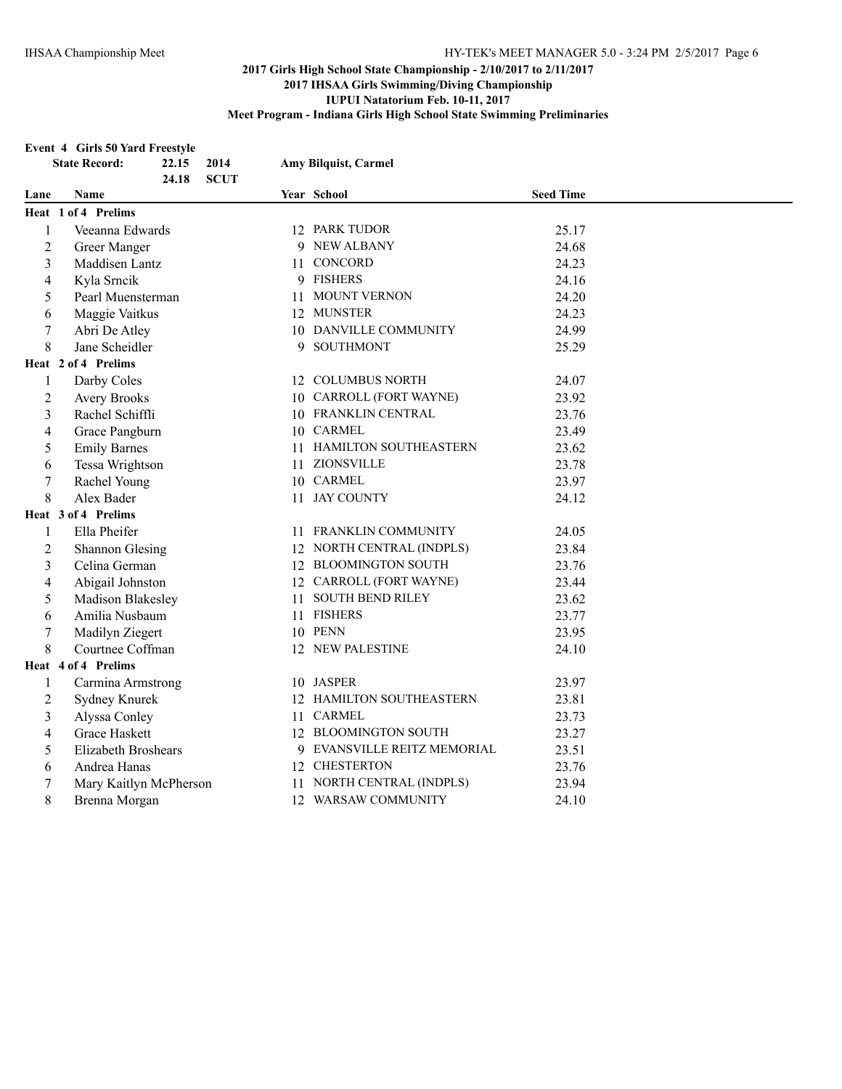#### **Event 4 Girls 50 Yard Freestyle**

|                | <b>State Record:</b>   | 22.15 | 2014        |    | Amy Bilquist, Carmel        |                  |
|----------------|------------------------|-------|-------------|----|-----------------------------|------------------|
|                |                        | 24.18 | <b>SCUT</b> |    |                             |                  |
| Lane           | <b>Name</b>            |       |             |    | Year School                 | <b>Seed Time</b> |
|                | Heat 1 of 4 Prelims    |       |             |    |                             |                  |
| 1              | Veeanna Edwards        |       |             |    | 12 PARK TUDOR               | 25.17            |
| $\overline{2}$ | Greer Manger           |       |             |    | 9 NEW ALBANY                | 24.68            |
| 3              | Maddisen Lantz         |       |             |    | 11 CONCORD                  | 24.23            |
| 4              | Kyla Srncik            |       |             |    | 9 FISHERS                   | 24.16            |
| 5              | Pearl Muensterman      |       |             |    | 11 MOUNT VERNON             | 24.20            |
| 6              | Maggie Vaitkus         |       |             |    | 12 MUNSTER                  | 24.23            |
| $\tau$         | Abri De Atley          |       |             |    | 10 DANVILLE COMMUNITY       | 24.99            |
| 8              | Jane Scheidler         |       |             |    | 9 SOUTHMONT                 | 25.29            |
|                | Heat 2 of 4 Prelims    |       |             |    |                             |                  |
| 1              | Darby Coles            |       |             |    | 12 COLUMBUS NORTH           | 24.07            |
| 2              | <b>Avery Brooks</b>    |       |             |    | 10 CARROLL (FORT WAYNE)     | 23.92            |
| 3              | Rachel Schiffli        |       |             |    | 10 FRANKLIN CENTRAL         | 23.76            |
| 4              | Grace Pangburn         |       |             |    | 10 CARMEL                   | 23.49            |
| 5              | <b>Emily Barnes</b>    |       |             | 11 | HAMILTON SOUTHEASTERN       | 23.62            |
| 6              | Tessa Wrightson        |       |             | 11 | ZIONSVILLE                  | 23.78            |
| 7              | Rachel Young           |       |             |    | 10 CARMEL                   | 23.97            |
| 8              | Alex Bader             |       |             |    | 11 JAY COUNTY               | 24.12            |
|                | Heat 3 of 4 Prelims    |       |             |    |                             |                  |
| 1              | Ella Pheifer           |       |             |    | 11 FRANKLIN COMMUNITY       | 24.05            |
| $\overline{c}$ | <b>Shannon Glesing</b> |       |             |    | 12 NORTH CENTRAL (INDPLS)   | 23.84            |
| 3              | Celina German          |       |             |    | 12 BLOOMINGTON SOUTH        | 23.76            |
| 4              | Abigail Johnston       |       |             |    | 12 CARROLL (FORT WAYNE)     | 23.44            |
| 5              | Madison Blakesley      |       |             |    | 11 SOUTH BEND RILEY         | 23.62            |
| 6              | Amilia Nusbaum         |       |             |    | 11 FISHERS                  | 23.77            |
| 7              | Madilyn Ziegert        |       |             |    | 10 PENN                     | 23.95            |
| 8              | Courtnee Coffman       |       |             |    | 12 NEW PALESTINE            | 24.10            |
|                | Heat 4 of 4 Prelims    |       |             |    |                             |                  |
| 1              | Carmina Armstrong      |       |             |    | 10 JASPER                   | 23.97            |
| $\overline{2}$ | Sydney Knurek          |       |             |    | 12 HAMILTON SOUTHEASTERN    | 23.81            |
| 3              | Alyssa Conley          |       |             |    | 11 CARMEL                   | 23.73            |
| 4              | Grace Haskett          |       |             |    | 12 BLOOMINGTON SOUTH        | 23.27            |
| 5              | Elizabeth Broshears    |       |             |    | 9 EVANSVILLE REITZ MEMORIAL | 23.51            |
| 6              | Andrea Hanas           |       |             |    | 12 CHESTERTON               | 23.76            |
| $\tau$         | Mary Kaitlyn McPherson |       |             | 11 | NORTH CENTRAL (INDPLS)      | 23.94            |
| 8              | Brenna Morgan          |       |             |    | 12 WARSAW COMMUNITY         | 24.10            |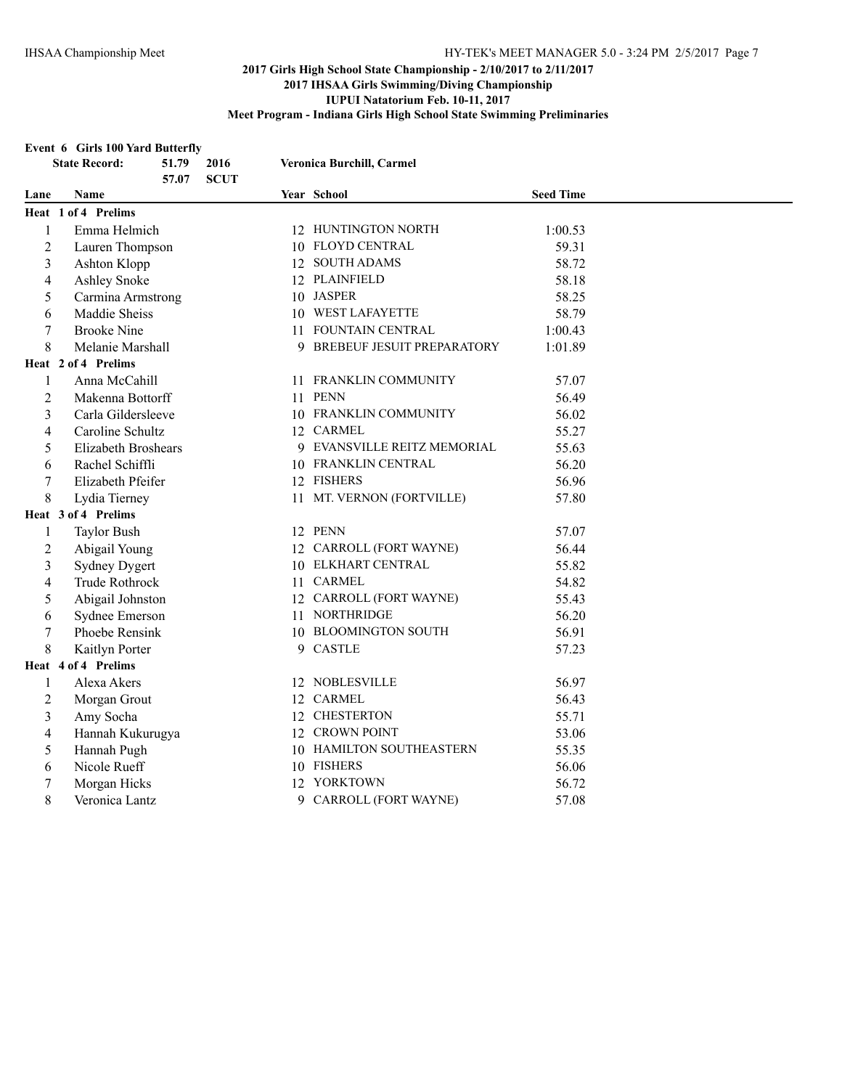#### **Event 6 Girls 100 Yard Butterfly**

|                | <b>State Record:</b>       | 51.79<br>57.07 | 2016<br><b>SCUT</b> | Veronica Burchill, Carmel    |                  |  |
|----------------|----------------------------|----------------|---------------------|------------------------------|------------------|--|
| Lane           | <b>Name</b>                |                |                     | Year School                  | <b>Seed Time</b> |  |
|                | Heat 1 of 4 Prelims        |                |                     |                              |                  |  |
| 1              | Emma Helmich               |                |                     | 12 HUNTINGTON NORTH          | 1:00.53          |  |
| $\overline{2}$ | Lauren Thompson            |                |                     | 10 FLOYD CENTRAL             | 59.31            |  |
| 3              | Ashton Klopp               |                |                     | 12 SOUTH ADAMS               | 58.72            |  |
| 4              | Ashley Snoke               |                |                     | 12 PLAINFIELD                | 58.18            |  |
| 5              | Carmina Armstrong          |                |                     | 10 JASPER                    | 58.25            |  |
| 6              | Maddie Sheiss              |                |                     | 10 WEST LAFAYETTE            | 58.79            |  |
| 7              | <b>Brooke Nine</b>         |                |                     | 11 FOUNTAIN CENTRAL          | 1:00.43          |  |
| 8              | Melanie Marshall           |                |                     | 9 BREBEUF JESUIT PREPARATORY | 1:01.89          |  |
|                | Heat 2 of 4 Prelims        |                |                     |                              |                  |  |
| 1              | Anna McCahill              |                |                     | 11 FRANKLIN COMMUNITY        | 57.07            |  |
| $\overline{2}$ | Makenna Bottorff           |                |                     | 11 PENN                      | 56.49            |  |
| 3              | Carla Gildersleeve         |                |                     | 10 FRANKLIN COMMUNITY        | 56.02            |  |
| 4              | Caroline Schultz           |                |                     | 12 CARMEL                    | 55.27            |  |
| 5              | <b>Elizabeth Broshears</b> |                |                     | 9 EVANSVILLE REITZ MEMORIAL  | 55.63            |  |
| 6              | Rachel Schiffli            |                |                     | 10 FRANKLIN CENTRAL          | 56.20            |  |
| 7              | Elizabeth Pfeifer          |                |                     | 12 FISHERS                   | 56.96            |  |
| 8              | Lydia Tierney              |                |                     | 11 MT. VERNON (FORTVILLE)    | 57.80            |  |
|                | Heat 3 of 4 Prelims        |                |                     |                              |                  |  |
| 1              | <b>Taylor Bush</b>         |                |                     | 12 PENN                      | 57.07            |  |
| $\overline{c}$ | Abigail Young              |                |                     | 12 CARROLL (FORT WAYNE)      | 56.44            |  |
| 3              | <b>Sydney Dygert</b>       |                |                     | 10 ELKHART CENTRAL           | 55.82            |  |
| 4              | Trude Rothrock             |                |                     | 11 CARMEL                    | 54.82            |  |
| 5              | Abigail Johnston           |                |                     | 12 CARROLL (FORT WAYNE)      | 55.43            |  |
| 6              | Sydnee Emerson             |                |                     | 11 NORTHRIDGE                | 56.20            |  |
| 7              | Phoebe Rensink             |                |                     | 10 BLOOMINGTON SOUTH         | 56.91            |  |
| 8              | Kaitlyn Porter             |                |                     | 9 CASTLE                     | 57.23            |  |
|                | Heat 4 of 4 Prelims        |                |                     |                              |                  |  |
| 1              | Alexa Akers                |                |                     | 12 NOBLESVILLE               | 56.97            |  |
| 2              | Morgan Grout               |                |                     | 12 CARMEL                    | 56.43            |  |
| 3              | Amy Socha                  |                |                     | 12 CHESTERTON                | 55.71            |  |
| 4              | Hannah Kukurugya           |                |                     | 12 CROWN POINT               | 53.06            |  |
| 5              | Hannah Pugh                |                |                     | 10 HAMILTON SOUTHEASTERN     | 55.35            |  |
| 6              | Nicole Rueff               |                |                     | 10 FISHERS                   | 56.06            |  |
| $\sqrt{ }$     | Morgan Hicks               |                |                     | 12 YORKTOWN                  | 56.72            |  |
| 8              | Veronica Lantz             |                |                     | 9 CARROLL (FORT WAYNE)       | 57.08            |  |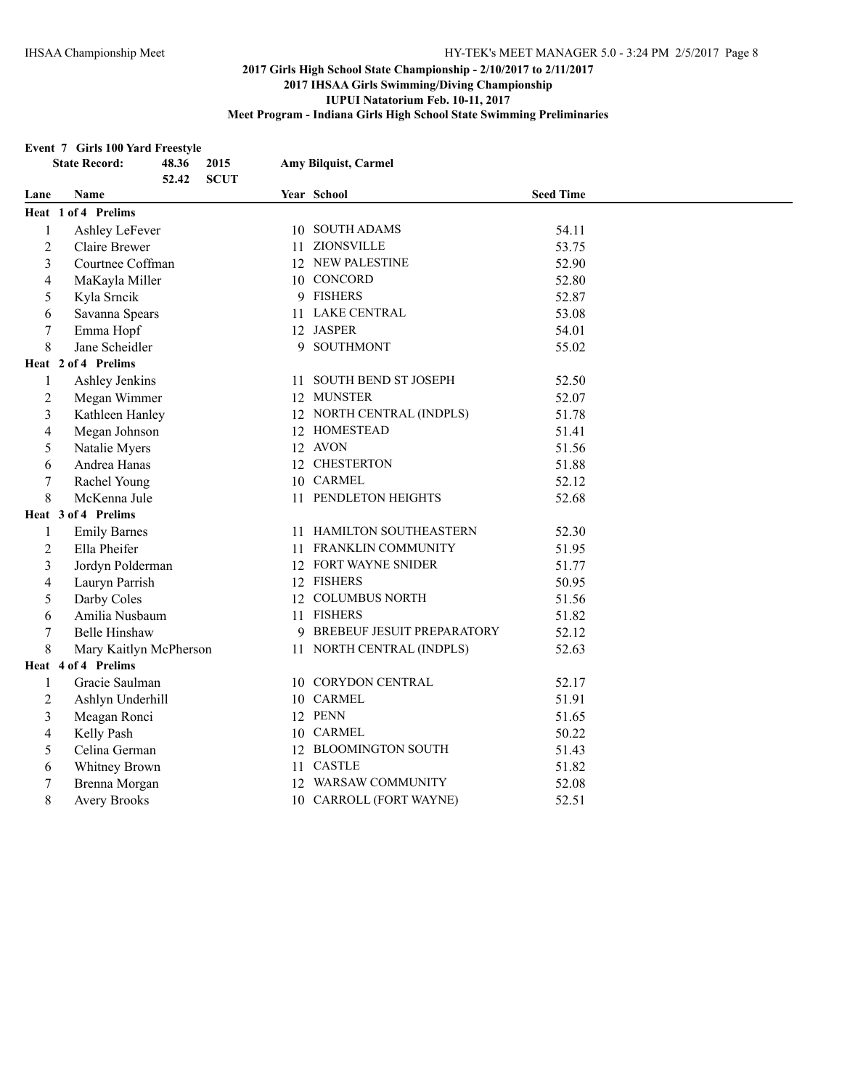#### **Event 7 Girls 100 Yard Freestyle**

| <b>State Record:</b> |                        | 48.36 | 2015        | Amy Bilquist, Carmel         |                  |
|----------------------|------------------------|-------|-------------|------------------------------|------------------|
|                      |                        | 52.42 | <b>SCUT</b> |                              |                  |
| Lane                 | Name                   |       |             | Year School                  | <b>Seed Time</b> |
|                      | Heat 1 of 4 Prelims    |       |             |                              |                  |
| $\mathbf{1}$         | Ashley LeFever         |       |             | 10 SOUTH ADAMS               | 54.11            |
| $\overline{2}$       | Claire Brewer          |       |             | 11 ZIONSVILLE                | 53.75            |
| $\mathfrak{Z}$       | Courtnee Coffman       |       |             | 12 NEW PALESTINE             | 52.90            |
| 4                    | MaKayla Miller         |       |             | 10 CONCORD                   | 52.80            |
| 5                    | Kyla Srncik            |       |             | 9 FISHERS                    | 52.87            |
| 6                    | Savanna Spears         |       |             | 11 LAKE CENTRAL              | 53.08            |
| $\boldsymbol{7}$     | Emma Hopf              |       |             | 12 JASPER                    | 54.01            |
| 8                    | Jane Scheidler         |       |             | 9 SOUTHMONT                  | 55.02            |
|                      | Heat 2 of 4 Prelims    |       |             |                              |                  |
| 1                    | Ashley Jenkins         |       |             | 11 SOUTH BEND ST JOSEPH      | 52.50            |
| $\overline{2}$       | Megan Wimmer           |       |             | 12 MUNSTER                   | 52.07            |
| 3                    | Kathleen Hanley        |       |             | 12 NORTH CENTRAL (INDPLS)    | 51.78            |
| 4                    | Megan Johnson          |       |             | 12 HOMESTEAD                 | 51.41            |
| 5                    | Natalie Myers          |       |             | 12 AVON                      | 51.56            |
| 6                    | Andrea Hanas           |       |             | 12 CHESTERTON                | 51.88            |
| 7                    | Rachel Young           |       |             | 10 CARMEL                    | 52.12            |
| 8                    | McKenna Jule           |       |             | 11 PENDLETON HEIGHTS         | 52.68            |
|                      | Heat 3 of 4 Prelims    |       |             |                              |                  |
| 1                    | <b>Emily Barnes</b>    |       |             | 11 HAMILTON SOUTHEASTERN     | 52.30            |
| $\overline{2}$       | Ella Pheifer           |       |             | 11 FRANKLIN COMMUNITY        | 51.95            |
| 3                    | Jordyn Polderman       |       |             | 12 FORT WAYNE SNIDER         | 51.77            |
| 4                    | Lauryn Parrish         |       |             | 12 FISHERS                   | 50.95            |
| 5                    | Darby Coles            |       |             | 12 COLUMBUS NORTH            | 51.56            |
| 6                    | Amilia Nusbaum         |       |             | 11 FISHERS                   | 51.82            |
| 7                    | <b>Belle Hinshaw</b>   |       |             | 9 BREBEUF JESUIT PREPARATORY | 52.12            |
| 8                    | Mary Kaitlyn McPherson |       |             | 11 NORTH CENTRAL (INDPLS)    | 52.63            |
|                      | Heat 4 of 4 Prelims    |       |             |                              |                  |
| 1                    | Gracie Saulman         |       |             | 10 CORYDON CENTRAL           | 52.17            |
| $\overline{c}$       | Ashlyn Underhill       |       |             | 10 CARMEL                    | 51.91            |
| $\mathfrak{Z}$       | Meagan Ronci           |       |             | 12 PENN                      | 51.65            |
| 4                    | Kelly Pash             |       |             | 10 CARMEL                    | 50.22            |
| 5                    | Celina German          |       |             | 12 BLOOMINGTON SOUTH         | 51.43            |
| 6                    | Whitney Brown          |       |             | 11 CASTLE                    | 51.82            |
| $\boldsymbol{7}$     | Brenna Morgan          |       |             | 12 WARSAW COMMUNITY          | 52.08            |
| 8                    | <b>Avery Brooks</b>    |       |             | 10 CARROLL (FORT WAYNE)      | 52.51            |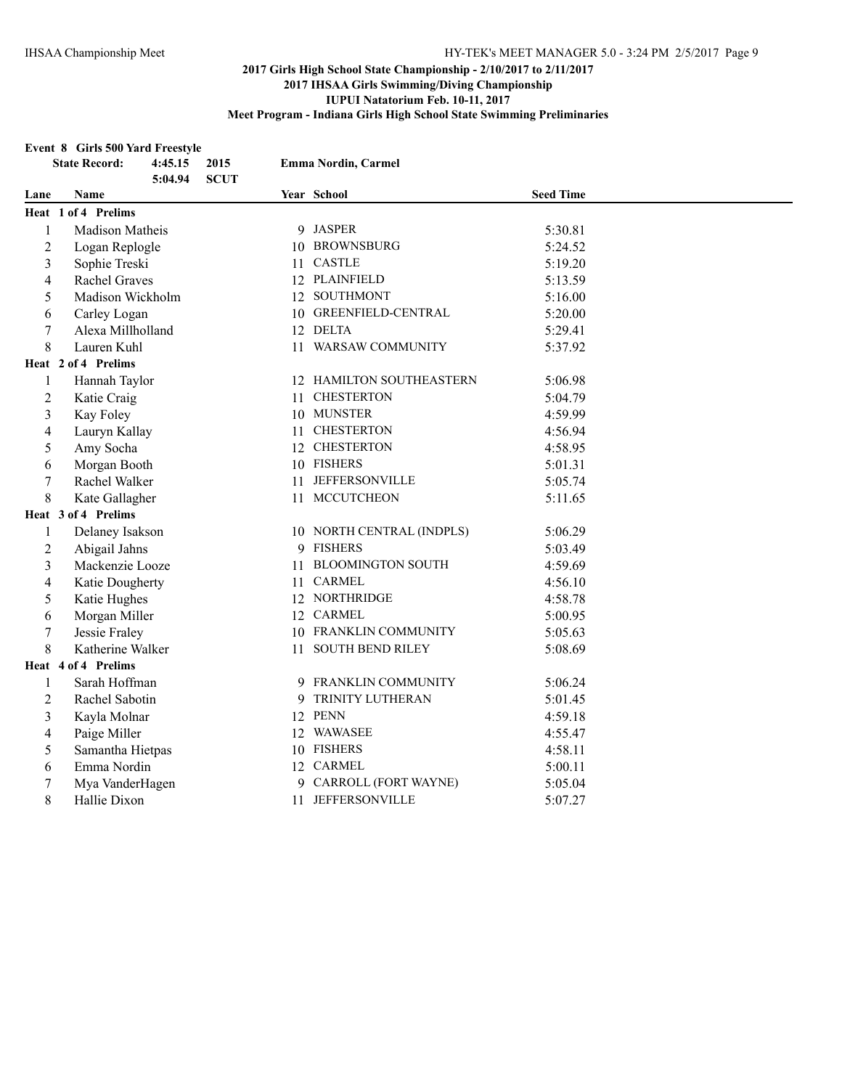#### **Event 8 Girls 500 Yard Freestyle**

|                          | <b>State Record:</b><br>4:45.15<br>5:04.94 | 2015<br><b>SCUT</b> | Emma Nordin, Carmel       |                  |  |
|--------------------------|--------------------------------------------|---------------------|---------------------------|------------------|--|
| Lane                     | Name                                       |                     | Year School               | <b>Seed Time</b> |  |
|                          | Heat 1 of 4 Prelims                        |                     |                           |                  |  |
| $\mathbf{1}$             | Madison Matheis                            |                     | 9 JASPER                  | 5:30.81          |  |
| $\overline{2}$           | Logan Replogle                             |                     | 10 BROWNSBURG             | 5:24.52          |  |
| 3                        | Sophie Treski                              |                     | 11 CASTLE                 | 5:19.20          |  |
| $\overline{\mathcal{L}}$ | Rachel Graves                              |                     | 12 PLAINFIELD             | 5:13.59          |  |
| 5                        | Madison Wickholm                           |                     | 12 SOUTHMONT              | 5:16.00          |  |
| 6                        | Carley Logan                               |                     | 10 GREENFIELD-CENTRAL     | 5:20.00          |  |
| 7                        | Alexa Millholland                          |                     | 12 DELTA                  | 5:29.41          |  |
| 8                        | Lauren Kuhl                                |                     | 11 WARSAW COMMUNITY       | 5:37.92          |  |
|                          | Heat 2 of 4 Prelims                        |                     |                           |                  |  |
| 1                        | Hannah Taylor                              |                     | 12 HAMILTON SOUTHEASTERN  | 5:06.98          |  |
| 2                        | Katie Craig                                | 11                  | <b>CHESTERTON</b>         | 5:04.79          |  |
| 3                        | Kay Foley                                  |                     | 10 MUNSTER                | 4:59.99          |  |
| 4                        | Lauryn Kallay                              |                     | 11 CHESTERTON             | 4:56.94          |  |
| 5                        | Amy Socha                                  |                     | 12 CHESTERTON             | 4:58.95          |  |
| 6                        | Morgan Booth                               |                     | 10 FISHERS                | 5:01.31          |  |
| 7                        | Rachel Walker                              |                     | 11 JEFFERSONVILLE         | 5:05.74          |  |
| 8                        | Kate Gallagher                             |                     | 11 MCCUTCHEON             | 5:11.65          |  |
|                          | Heat 3 of 4 Prelims                        |                     |                           |                  |  |
| 1                        | Delaney Isakson                            |                     | 10 NORTH CENTRAL (INDPLS) | 5:06.29          |  |
| $\mathbf{2}$             | Abigail Jahns                              |                     | 9 FISHERS                 | 5:03.49          |  |
| 3                        | Mackenzie Looze                            |                     | 11 BLOOMINGTON SOUTH      | 4:59.69          |  |
| 4                        | Katie Dougherty                            |                     | 11 CARMEL                 | 4:56.10          |  |
| 5                        | Katie Hughes                               |                     | 12 NORTHRIDGE             | 4:58.78          |  |
| 6                        | Morgan Miller                              |                     | 12 CARMEL                 | 5:00.95          |  |
| $\sqrt{ }$               | Jessie Fraley                              |                     | 10 FRANKLIN COMMUNITY     | 5:05.63          |  |
| 8                        | Katherine Walker                           |                     | 11 SOUTH BEND RILEY       | 5:08.69          |  |
|                          | Heat 4 of 4 Prelims                        |                     |                           |                  |  |
| 1                        | Sarah Hoffman                              |                     | 9 FRANKLIN COMMUNITY      | 5:06.24          |  |
| 2                        | Rachel Sabotin                             |                     | 9 TRINITY LUTHERAN        | 5:01.45          |  |
| 3                        | Kayla Molnar                               |                     | 12 PENN                   | 4:59.18          |  |
| 4                        | Paige Miller                               |                     | 12 WAWASEE                | 4:55.47          |  |
| 5                        | Samantha Hietpas                           |                     | 10 FISHERS                | 4:58.11          |  |
| 6                        | Emma Nordin                                |                     | 12 CARMEL                 | 5:00.11          |  |
| 7                        | Mya VanderHagen                            |                     | 9 CARROLL (FORT WAYNE)    | 5:05.04          |  |
| 8                        | Hallie Dixon                               |                     | 11 JEFFERSONVILLE         | 5:07.27          |  |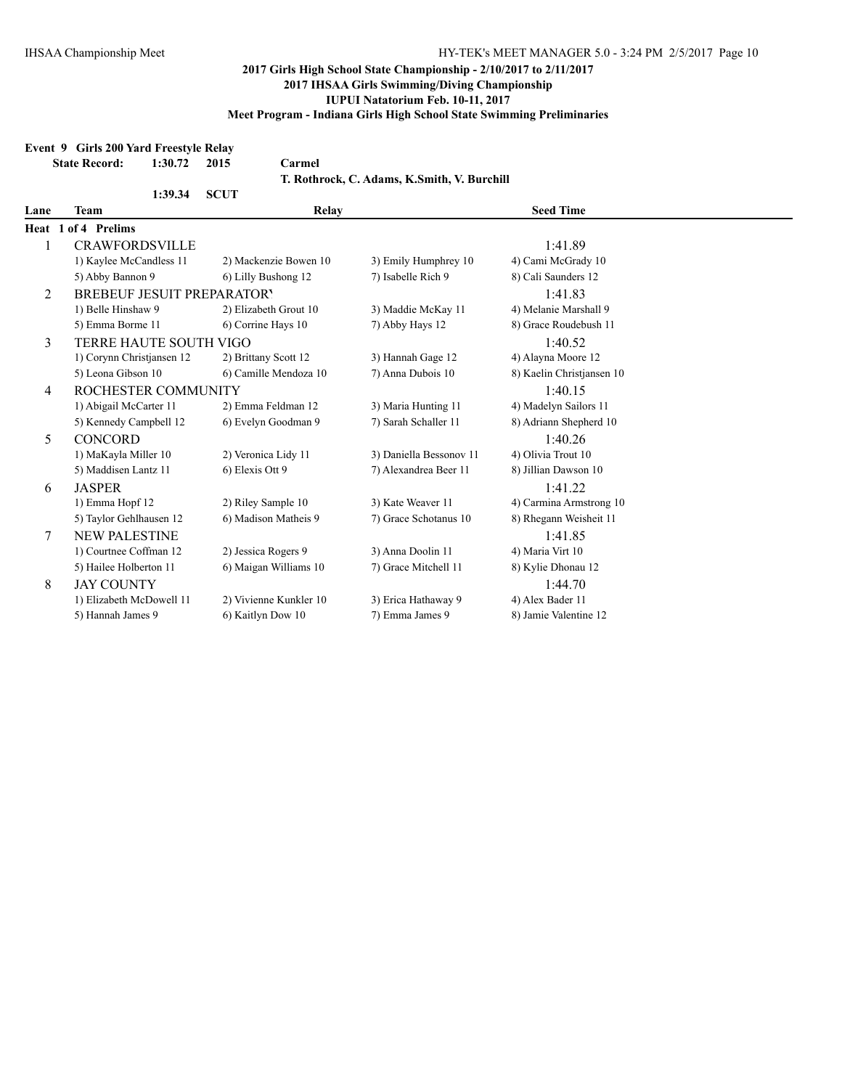# **Event 9 Girls 200 Yard Freestyle Relay**

|      | <b>State Record:</b>              | 1:30.72 | 2015        | Carmel                 |                                             |                           |  |
|------|-----------------------------------|---------|-------------|------------------------|---------------------------------------------|---------------------------|--|
|      |                                   |         |             |                        | T. Rothrock, C. Adams, K.Smith, V. Burchill |                           |  |
|      |                                   | 1:39.34 | <b>SCUT</b> |                        |                                             |                           |  |
| Lane | Team                              |         |             | Relay                  |                                             | <b>Seed Time</b>          |  |
|      | Heat 1 of 4 Prelims               |         |             |                        |                                             |                           |  |
| 1    | <b>CRAWFORDSVILLE</b>             |         |             |                        |                                             | 1:41.89                   |  |
|      | 1) Kaylee McCandless 11           |         |             | 2) Mackenzie Bowen 10  | 3) Emily Humphrey 10                        | 4) Cami McGrady 10        |  |
|      | 5) Abby Bannon 9                  |         |             | 6) Lilly Bushong 12    | 7) Isabelle Rich 9                          | 8) Cali Saunders 12       |  |
| 2    | <b>BREBEUF JESUIT PREPARATORY</b> |         |             |                        |                                             | 1:41.83                   |  |
|      | 1) Belle Hinshaw 9                |         |             | 2) Elizabeth Grout 10  | 3) Maddie McKay 11                          | 4) Melanie Marshall 9     |  |
|      | 5) Emma Borme 11                  |         |             | 6) Corrine Hays 10     | 7) Abby Hays 12                             | 8) Grace Roudebush 11     |  |
| 3    | TERRE HAUTE SOUTH VIGO            |         |             |                        |                                             | 1:40.52                   |  |
|      | 1) Corynn Christiansen 12         |         |             | 2) Brittany Scott 12   | 3) Hannah Gage 12                           | 4) Alayna Moore 12        |  |
|      | 5) Leona Gibson 10                |         |             | 6) Camille Mendoza 10  | 7) Anna Dubois 10                           | 8) Kaelin Christiansen 10 |  |
| 4    | ROCHESTER COMMUNITY               |         |             |                        |                                             | 1:40.15                   |  |
|      | 1) Abigail McCarter 11            |         |             | 2) Emma Feldman 12     | 3) Maria Hunting 11                         | 4) Madelyn Sailors 11     |  |
|      | 5) Kennedy Campbell 12            |         |             | 6) Evelyn Goodman 9    | 7) Sarah Schaller 11                        | 8) Adriann Shepherd 10    |  |
| 5    | <b>CONCORD</b>                    |         |             |                        |                                             | 1:40.26                   |  |
|      | 1) MaKayla Miller 10              |         |             | 2) Veronica Lidy 11    | 3) Daniella Bessonov 11                     | 4) Olivia Trout 10        |  |
|      | 5) Maddisen Lantz 11              |         |             | 6) Elexis Ott 9        | 7) Alexandrea Beer 11                       | 8) Jillian Dawson 10      |  |
| 6    | <b>JASPER</b>                     |         |             |                        |                                             | 1:41.22                   |  |
|      | 1) Emma Hopf 12                   |         |             | 2) Riley Sample 10     | 3) Kate Weaver 11                           | 4) Carmina Armstrong 10   |  |
|      | 5) Taylor Gehlhausen 12           |         |             | 6) Madison Matheis 9   | 7) Grace Schotanus 10                       | 8) Rhegann Weisheit 11    |  |
| 7    | <b>NEW PALESTINE</b>              |         |             |                        |                                             | 1:41.85                   |  |
|      | 1) Courtnee Coffman 12            |         |             | 2) Jessica Rogers 9    | 3) Anna Doolin 11                           | 4) Maria Virt 10          |  |
|      | 5) Hailee Holberton 11            |         |             | 6) Maigan Williams 10  | 7) Grace Mitchell 11                        | 8) Kylie Dhonau 12        |  |
| 8    | <b>JAY COUNTY</b>                 |         |             |                        |                                             | 1:44.70                   |  |
|      | 1) Elizabeth McDowell 11          |         |             | 2) Vivienne Kunkler 10 | 3) Erica Hathaway 9                         | 4) Alex Bader 11          |  |
|      | 5) Hannah James 9                 |         |             | 6) Kaitlyn Dow 10      | 7) Emma James 9                             | 8) Jamie Valentine 12     |  |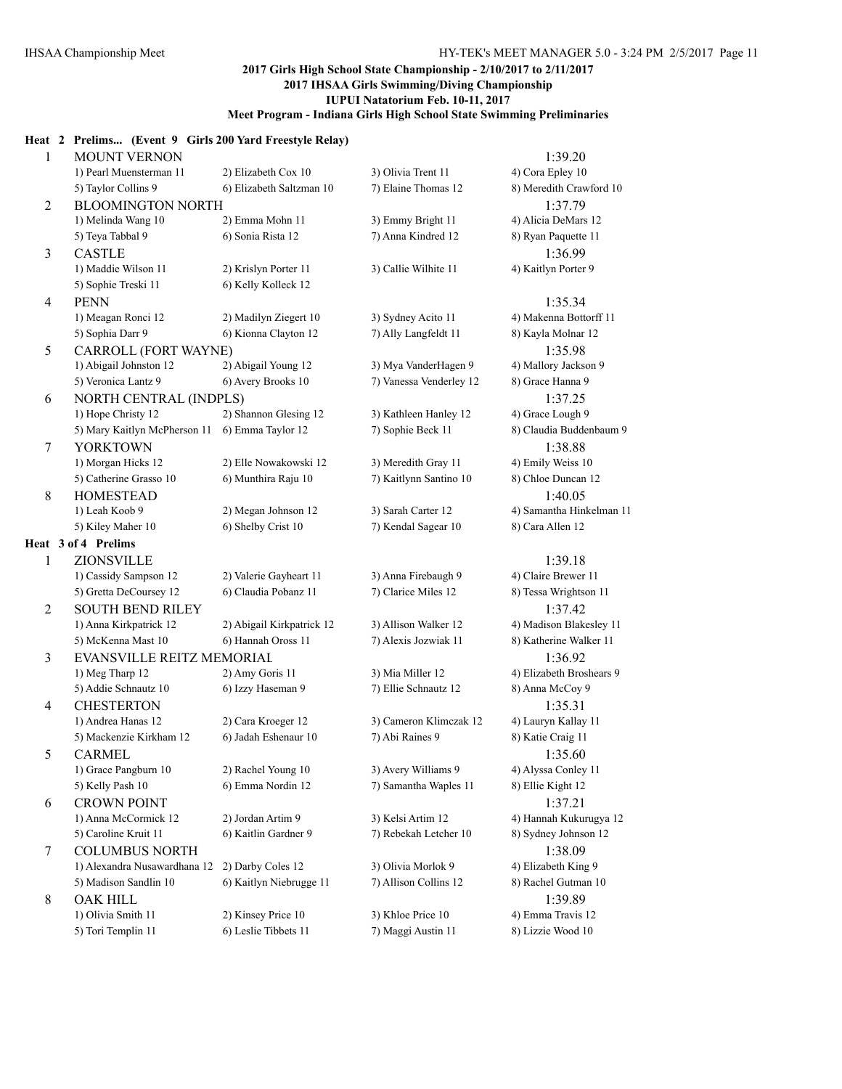#### **Heat 2 Prelims... (Event 9 Girls 200 Yard Freestyle Relay)**

| $\mathbf{1}$   | <b>MOUNT VERNON</b>                      |                                            |                                              | 1:39.20                                |
|----------------|------------------------------------------|--------------------------------------------|----------------------------------------------|----------------------------------------|
|                | 1) Pearl Muensterman 11                  | 2) Elizabeth Cox 10                        | 3) Olivia Trent 11                           | 4) Cora Epley 10                       |
|                | 5) Taylor Collins 9                      | 6) Elizabeth Saltzman 10                   | 7) Elaine Thomas 12                          | 8) Meredith Crawford 10                |
| $\overline{2}$ | <b>BLOOMINGTON NORTH</b>                 |                                            |                                              | 1:37.79                                |
|                | 1) Melinda Wang 10                       | 2) Emma Mohn 11                            | 3) Emmy Bright 11                            | 4) Alicia DeMars 12                    |
|                | 5) Teya Tabbal 9                         | 6) Sonia Rista 12                          | 7) Anna Kindred 12                           | 8) Ryan Paquette 11                    |
| 3              | <b>CASTLE</b>                            |                                            |                                              | 1:36.99                                |
|                | 1) Maddie Wilson 11                      | 2) Krislyn Porter 11                       | 3) Callie Wilhite 11                         | 4) Kaitlyn Porter 9                    |
|                | 5) Sophie Treski 11                      | 6) Kelly Kolleck 12                        |                                              |                                        |
| $\overline{4}$ | <b>PENN</b>                              |                                            |                                              | 1:35.34                                |
|                | 1) Meagan Ronci 12                       | 2) Madilyn Ziegert 10                      | 3) Sydney Acito 11                           | 4) Makenna Bottorff 11                 |
|                | 5) Sophia Darr 9                         | 6) Kionna Clayton 12                       | 7) Ally Langfeldt 11                         | 8) Kayla Molnar 12                     |
| 5              | CARROLL (FORT WAYNE)                     |                                            |                                              | 1:35.98                                |
|                | 1) Abigail Johnston 12                   | 2) Abigail Young 12                        | 3) Mya VanderHagen 9                         | 4) Mallory Jackson 9                   |
|                | 5) Veronica Lantz 9                      | 6) Avery Brooks 10                         | 7) Vanessa Venderley 12                      | 8) Grace Hanna 9                       |
| 6              | NORTH CENTRAL (INDPLS)                   |                                            |                                              | 1:37.25                                |
|                | 1) Hope Christy 12                       | 2) Shannon Glesing 12                      | 3) Kathleen Hanley 12                        | 4) Grace Lough 9                       |
|                | 5) Mary Kaitlyn McPherson 11             | 6) Emma Taylor 12                          | 7) Sophie Beck 11                            | 8) Claudia Buddenbaum 9                |
| 7              | <b>YORKTOWN</b>                          |                                            |                                              | 1:38.88                                |
|                | 1) Morgan Hicks 12                       | 2) Elle Nowakowski 12                      | 3) Meredith Gray 11                          | 4) Emily Weiss 10                      |
|                | 5) Catherine Grasso 10                   | 6) Munthira Raju 10                        | 7) Kaitlynn Santino 10                       | 8) Chloe Duncan 12                     |
| 8              | <b>HOMESTEAD</b>                         |                                            |                                              | 1:40.05                                |
|                | 1) Leah Koob 9                           | 2) Megan Johnson 12                        | 3) Sarah Carter 12                           | 4) Samantha Hinkelman 11               |
|                | 5) Kiley Maher 10                        | 6) Shelby Crist 10                         | 7) Kendal Sagear 10                          | 8) Cara Allen 12                       |
|                | Heat 3 of 4 Prelims                      |                                            |                                              |                                        |
| 1              | <b>ZIONSVILLE</b>                        |                                            |                                              | 1:39.18                                |
|                | 1) Cassidy Sampson 12                    | 2) Valerie Gayheart 11                     | 3) Anna Firebaugh 9                          | 4) Claire Brewer 11                    |
|                | 5) Gretta DeCoursey 12                   | 6) Claudia Pobanz 11                       | 7) Clarice Miles 12                          | 8) Tessa Wrightson 11                  |
| 2              | <b>SOUTH BEND RILEY</b>                  |                                            |                                              | 1:37.42                                |
|                | 1) Anna Kirkpatrick 12                   | 2) Abigail Kirkpatrick 12                  | 3) Allison Walker 12                         | 4) Madison Blakesley 11                |
|                | 5) McKenna Mast 10                       | 6) Hannah Oross 11                         | 7) Alexis Jozwiak 11                         | 8) Katherine Walker 11                 |
| 3              | EVANSVILLE REITZ MEMORIAL                |                                            |                                              | 1:36.92                                |
|                | 1) Meg Tharp 12                          | 2) Amy Goris 11                            | 3) Mia Miller 12                             | 4) Elizabeth Broshears 9               |
|                | 5) Addie Schnautz 10                     | 6) Izzy Haseman 9                          | 7) Ellie Schnautz 12                         | 8) Anna McCoy 9                        |
| 4              | <b>CHESTERTON</b>                        |                                            |                                              | 1:35.31                                |
|                | 1) Andrea Hanas 12                       | 2) Cara Kroeger 12                         | 3) Cameron Klimczak 12<br>7) Abi Raines 9    | 4) Lauryn Kallay 11                    |
|                | 5) Mackenzie Kirkham 12                  | 6) Jadah Eshenaur 10                       |                                              | 8) Katie Craig 11                      |
| 5              | <b>CARMEL</b><br>1) Grace Pangburn 10    | 2) Rachel Young 10                         |                                              | 1:35.60<br>4) Alyssa Conley 11         |
|                | 5) Kelly Pash 10                         | 6) Emma Nordin 12                          | 3) Avery Williams 9<br>7) Samantha Waples 11 | 8) Ellie Kight 12                      |
|                | <b>CROWN POINT</b>                       |                                            |                                              | 1:37.21                                |
| 6              | 1) Anna McCormick 12                     | 2) Jordan Artim 9                          | 3) Kelsi Artim 12                            | 4) Hannah Kukurugya 12                 |
|                | 5) Caroline Kruit 11                     | 6) Kaitlin Gardner 9                       | 7) Rebekah Letcher 10                        | 8) Sydney Johnson 12                   |
|                |                                          |                                            |                                              |                                        |
|                |                                          |                                            |                                              |                                        |
| 7              | <b>COLUMBUS NORTH</b>                    |                                            |                                              | 1:38.09                                |
|                | 1) Alexandra Nusawardhana 12             | 2) Darby Coles 12                          | 3) Olivia Morlok 9                           | 4) Elizabeth King 9                    |
|                | 5) Madison Sandlin 10                    | 6) Kaitlyn Niebrugge 11                    | 7) Allison Collins 12                        | 8) Rachel Gutman 10                    |
| 8              | <b>OAK HILL</b>                          |                                            |                                              | 1:39.89                                |
|                | 1) Olivia Smith 11<br>5) Tori Templin 11 | 2) Kinsey Price 10<br>6) Leslie Tibbets 11 | 3) Khloe Price 10<br>7) Maggi Austin 11      | 4) Emma Travis 12<br>8) Lizzie Wood 10 |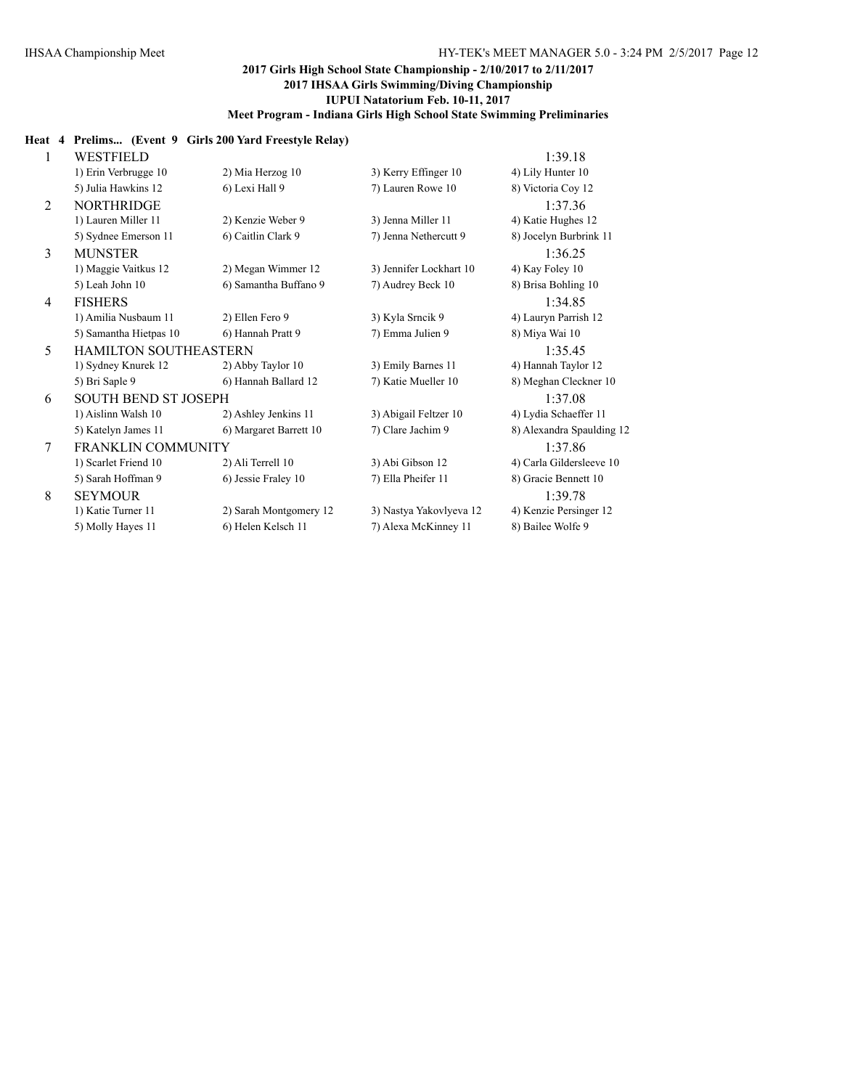#### **Heat 4 Prelims... (Event 9 Girls 200 Yard Freestyle Relay)**

| 1 | WESTFIELD                    |                        |                         | 1:39.18                   |
|---|------------------------------|------------------------|-------------------------|---------------------------|
|   | 1) Erin Verbrugge 10         | 2) Mia Herzog 10       | 3) Kerry Effinger 10    | 4) Lily Hunter 10         |
|   | 5) Julia Hawkins 12          | 6) Lexi Hall 9         | 7) Lauren Rowe 10       | 8) Victoria Coy 12        |
| 2 | <b>NORTHRIDGE</b>            |                        |                         | 1:37.36                   |
|   | 1) Lauren Miller 11          | 2) Kenzie Weber 9      | 3) Jenna Miller 11      | 4) Katie Hughes 12        |
|   | 5) Sydnee Emerson 11         | 6) Caitlin Clark 9     | 7) Jenna Nethercutt 9   | 8) Jocelyn Burbrink 11    |
| 3 | <b>MUNSTER</b>               |                        |                         | 1:36.25                   |
|   | 1) Maggie Vaitkus 12         | 2) Megan Wimmer 12     | 3) Jennifer Lockhart 10 | 4) Kay Foley 10           |
|   | 5) Leah John 10              | 6) Samantha Buffano 9  | 7) Audrey Beck 10       | 8) Brisa Bohling 10       |
| 4 | <b>FISHERS</b>               |                        |                         | 1:34.85                   |
|   | 1) Amilia Nusbaum 11         | 2) Ellen Fero 9        | 3) Kyla Srncik 9        | 4) Lauryn Parrish 12      |
|   | 5) Samantha Hietpas 10       | 6) Hannah Pratt 9      | 7) Emma Julien 9        | 8) Miya Wai 10            |
| 5 | <b>HAMILTON SOUTHEASTERN</b> |                        |                         | 1:35.45                   |
|   | 1) Sydney Knurek 12          | 2) Abby Taylor 10      | 3) Emily Barnes 11      | 4) Hannah Taylor 12       |
|   | 5) Bri Saple 9               | 6) Hannah Ballard 12   | 7) Katie Mueller 10     | 8) Meghan Cleckner 10     |
| 6 | <b>SOUTH BEND ST JOSEPH</b>  |                        |                         | 1:37.08                   |
|   | 1) Aislinn Walsh 10          | 2) Ashley Jenkins 11   | 3) Abigail Feltzer 10   | 4) Lydia Schaeffer 11     |
|   | 5) Katelyn James 11          | 6) Margaret Barrett 10 | 7) Clare Jachim 9       | 8) Alexandra Spaulding 12 |
| 7 | <b>FRANKLIN COMMUNITY</b>    |                        |                         | 1:37.86                   |
|   | 1) Scarlet Friend 10         | 2) Ali Terrell 10      | 3) Abi Gibson 12        | 4) Carla Gildersleeve 10  |
|   | 5) Sarah Hoffman 9           | 6) Jessie Fraley 10    | 7) Ella Pheifer 11      | 8) Gracie Bennett 10      |
| 8 | <b>SEYMOUR</b>               |                        |                         | 1:39.78                   |
|   | 1) Katie Turner 11           | 2) Sarah Montgomery 12 | 3) Nastya Yakovlyeva 12 | 4) Kenzie Persinger 12    |
|   | 5) Molly Hayes 11            | 6) Helen Kelsch 11     | 7) Alexa McKinney 11    | 8) Bailee Wolfe 9         |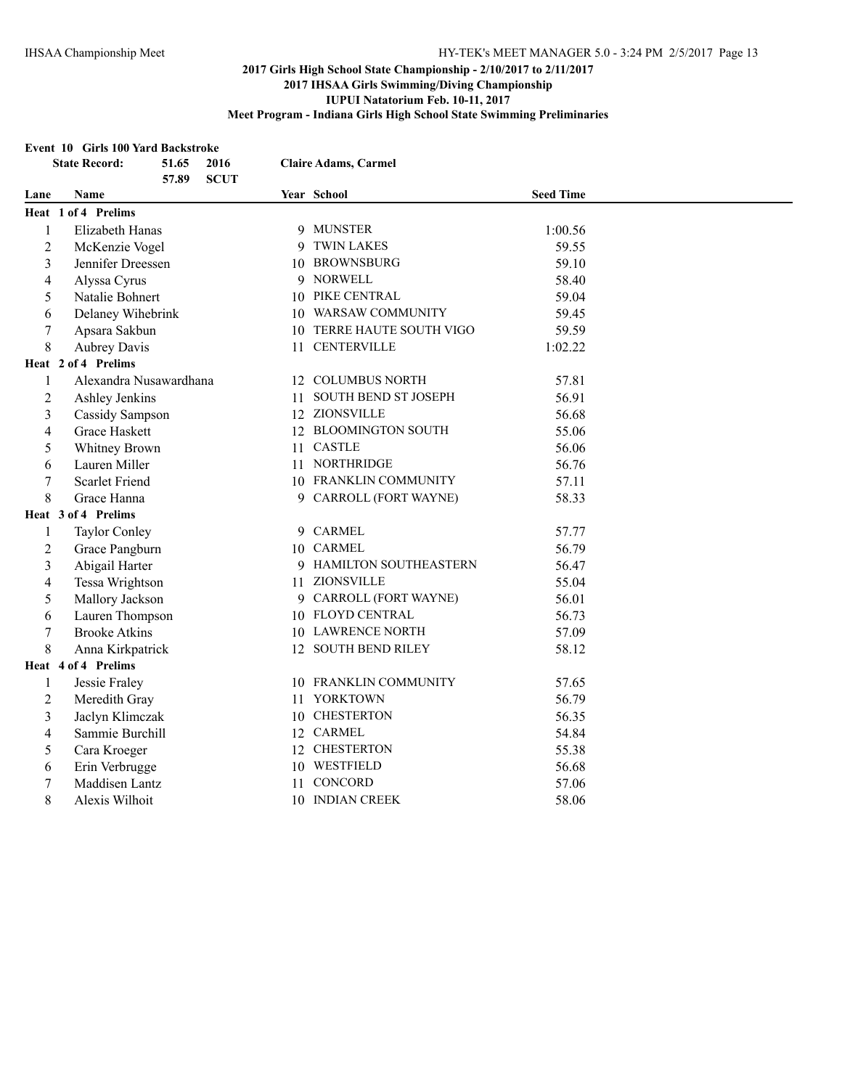#### **Event 10 Girls 100 Yard Backstroke**

|                | <b>State Record:</b>   | 51.65<br>57.89 | 2016<br><b>SCUT</b> |                       | <b>Claire Adams, Carmel</b> |                  |  |
|----------------|------------------------|----------------|---------------------|-----------------------|-----------------------------|------------------|--|
| Lane           | Name                   |                |                     |                       | Year School                 | <b>Seed Time</b> |  |
|                | Heat 1 of 4 Prelims    |                |                     |                       |                             |                  |  |
| $\mathbf{1}$   | Elizabeth Hanas        |                |                     |                       | 9 MUNSTER                   | 1:00.56          |  |
| $\overline{2}$ | McKenzie Vogel         |                |                     |                       | 9 TWIN LAKES                | 59.55            |  |
| 3              | Jennifer Dreessen      |                |                     |                       | 10 BROWNSBURG               | 59.10            |  |
| 4              | Alyssa Cyrus           |                |                     |                       | 9 NORWELL                   | 58.40            |  |
| 5              | Natalie Bohnert        |                |                     |                       | 10 PIKE CENTRAL             | 59.04            |  |
| 6              | Delaney Wihebrink      |                |                     |                       | 10 WARSAW COMMUNITY         | 59.45            |  |
| 7              | Apsara Sakbun          |                |                     |                       | 10 TERRE HAUTE SOUTH VIGO   | 59.59            |  |
| 8              | <b>Aubrey Davis</b>    |                |                     |                       | 11 CENTERVILLE              | 1:02.22          |  |
|                | Heat 2 of 4 Prelims    |                |                     |                       |                             |                  |  |
| 1              | Alexandra Nusawardhana |                |                     |                       | 12 COLUMBUS NORTH           | 57.81            |  |
| $\overline{2}$ | Ashley Jenkins         |                |                     | 11                    | <b>SOUTH BEND ST JOSEPH</b> | 56.91            |  |
| 3              | Cassidy Sampson        |                |                     |                       | 12 ZIONSVILLE               | 56.68            |  |
| 4              | <b>Grace Haskett</b>   |                |                     |                       | 12 BLOOMINGTON SOUTH        | 55.06            |  |
| 5              | Whitney Brown          |                |                     | 11                    | <b>CASTLE</b>               | 56.06            |  |
| 6              | Lauren Miller          |                |                     |                       | 11 NORTHRIDGE               | 56.76            |  |
| 7              | <b>Scarlet Friend</b>  |                |                     | 10 FRANKLIN COMMUNITY | 57.11                       |                  |  |
| 8              | Grace Hanna            |                |                     |                       | 9 CARROLL (FORT WAYNE)      | 58.33            |  |
|                | Heat 3 of 4 Prelims    |                |                     |                       |                             |                  |  |
| 1              | <b>Taylor Conley</b>   |                |                     |                       | 9 CARMEL                    | 57.77            |  |
| 2              | Grace Pangburn         |                |                     |                       | 10 CARMEL                   | 56.79            |  |
| 3              | Abigail Harter         |                |                     |                       | 9 HAMILTON SOUTHEASTERN     | 56.47            |  |
| 4              | Tessa Wrightson        |                |                     |                       | 11 ZIONSVILLE               | 55.04            |  |
| 5              | Mallory Jackson        |                |                     |                       | 9 CARROLL (FORT WAYNE)      | 56.01            |  |
| 6              | Lauren Thompson        |                |                     |                       | 10 FLOYD CENTRAL            | 56.73            |  |
| $\sqrt{ }$     | <b>Brooke Atkins</b>   |                |                     |                       | 10 LAWRENCE NORTH           | 57.09            |  |
| 8              | Anna Kirkpatrick       |                |                     |                       | 12 SOUTH BEND RILEY         | 58.12            |  |
|                | Heat 4 of 4 Prelims    |                |                     |                       |                             |                  |  |
| 1              | Jessie Fraley          |                |                     |                       | 10 FRANKLIN COMMUNITY       | 57.65            |  |
| $\overline{2}$ | Meredith Gray          |                |                     |                       | 11 YORKTOWN                 | 56.79            |  |
| 3              | Jaclyn Klimczak        |                |                     |                       | 10 CHESTERTON               | 56.35            |  |
| 4              | Sammie Burchill        |                |                     |                       | 12 CARMEL                   | 54.84            |  |
| 5              | Cara Kroeger           |                |                     |                       | 12 CHESTERTON               | 55.38            |  |
| 6              | Erin Verbrugge         |                |                     |                       | 10 WESTFIELD                | 56.68            |  |
| 7              | Maddisen Lantz         |                |                     | 11                    | CONCORD                     | 57.06            |  |
| 8              | Alexis Wilhoit         |                |                     | 10 INDIAN CREEK       | 58.06                       |                  |  |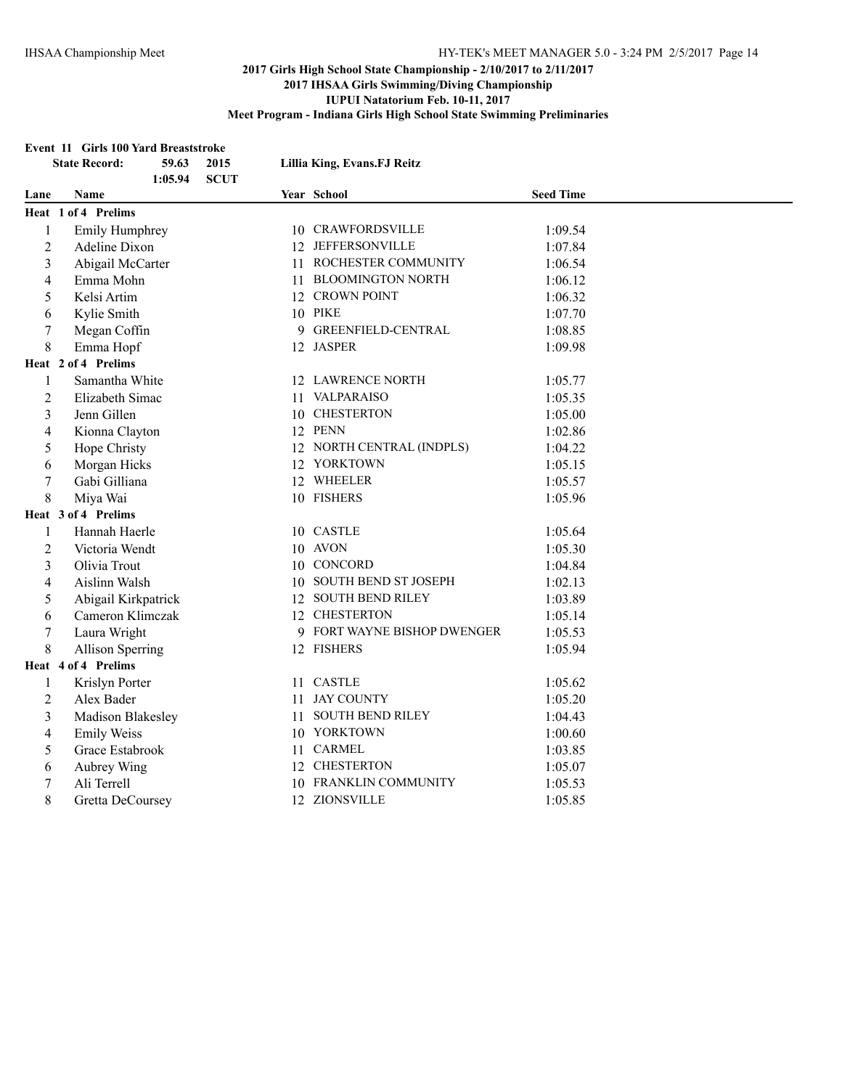#### **Event 11 Girls 100 Yard Breaststroke**

| <b>State Record:</b> |                       | 59.63<br>1:05.94 | 2015<br><b>SCUT</b> |    | Lillia King, Evans.FJ Reitz |                  |
|----------------------|-----------------------|------------------|---------------------|----|-----------------------------|------------------|
| Lane                 | Name                  |                  |                     |    | Year School                 | <b>Seed Time</b> |
|                      | Heat 1 of 4 Prelims   |                  |                     |    |                             |                  |
| $\mathbf{1}$         | <b>Emily Humphrey</b> |                  |                     |    | 10 CRAWFORDSVILLE           | 1:09.54          |
| $\overline{2}$       | Adeline Dixon         |                  |                     |    | 12 JEFFERSONVILLE           | 1:07.84          |
| 3                    | Abigail McCarter      |                  |                     |    | 11 ROCHESTER COMMUNITY      | 1:06.54          |
| 4                    | Emma Mohn             |                  |                     | 11 | <b>BLOOMINGTON NORTH</b>    | 1:06.12          |
| 5                    | Kelsi Artim           |                  |                     |    | 12 CROWN POINT              | 1:06.32          |
| 6                    | Kylie Smith           |                  |                     |    | 10 PIKE                     | 1:07.70          |
| 7                    | Megan Coffin          |                  |                     |    | 9 GREENFIELD-CENTRAL        | 1:08.85          |
| 8                    | Emma Hopf             |                  |                     |    | 12 JASPER                   | 1:09.98          |
|                      | Heat 2 of 4 Prelims   |                  |                     |    |                             |                  |
| $\mathbf{1}$         | Samantha White        |                  |                     |    | 12 LAWRENCE NORTH           | 1:05.77          |
| $\overline{2}$       | Elizabeth Simac       |                  |                     |    | 11 VALPARAISO               | 1:05.35          |
| 3                    | Jenn Gillen           |                  |                     |    | 10 CHESTERTON               | 1:05.00          |
| 4                    | Kionna Clayton        |                  |                     |    | 12 PENN                     | 1:02.86          |
| 5                    | Hope Christy          |                  |                     |    | 12 NORTH CENTRAL (INDPLS)   | 1:04.22          |
| 6                    | Morgan Hicks          |                  |                     |    | 12 YORKTOWN                 | 1:05.15          |
| $\overline{7}$       | Gabi Gilliana         |                  |                     |    | 12 WHEELER                  | 1:05.57          |
| 8                    | Miya Wai              |                  |                     |    | 10 FISHERS                  | 1:05.96          |
|                      | Heat 3 of 4 Prelims   |                  |                     |    |                             |                  |
| 1                    | Hannah Haerle         |                  |                     |    | 10 CASTLE                   | 1:05.64          |
| 2                    | Victoria Wendt        |                  |                     |    | 10 AVON                     | 1:05.30          |
| 3                    | Olivia Trout          |                  |                     |    | 10 CONCORD                  | 1:04.84          |
| 4                    | Aislinn Walsh         |                  |                     |    | 10 SOUTH BEND ST JOSEPH     | 1:02.13          |
| 5                    | Abigail Kirkpatrick   |                  |                     |    | 12 SOUTH BEND RILEY         | 1:03.89          |
| 6                    | Cameron Klimczak      |                  |                     |    | 12 CHESTERTON               | 1:05.14          |
| $\boldsymbol{7}$     | Laura Wright          |                  |                     |    | 9 FORT WAYNE BISHOP DWENGER | 1:05.53          |
| 8                    | Allison Sperring      |                  |                     |    | 12 FISHERS                  | 1:05.94          |
|                      | Heat 4 of 4 Prelims   |                  |                     |    |                             |                  |
| 1                    | Krislyn Porter        |                  |                     |    | 11 CASTLE                   | 1:05.62          |
| $\overline{2}$       | Alex Bader            |                  |                     |    | 11 JAY COUNTY               | 1:05.20          |
| 3                    | Madison Blakesley     |                  |                     |    | 11 SOUTH BEND RILEY         | 1:04.43          |
| 4                    | <b>Emily Weiss</b>    |                  |                     |    | 10 YORKTOWN                 | 1:00.60          |
| 5                    | Grace Estabrook       |                  |                     |    | 11 CARMEL                   | 1:03.85          |
| 6                    | Aubrey Wing           |                  |                     |    | 12 CHESTERTON               | 1:05.07          |
| 7                    | Ali Terrell           |                  |                     | 10 | FRANKLIN COMMUNITY          | 1:05.53          |
| 8                    | Gretta DeCoursey      |                  |                     |    | 12 ZIONSVILLE               | 1:05.85          |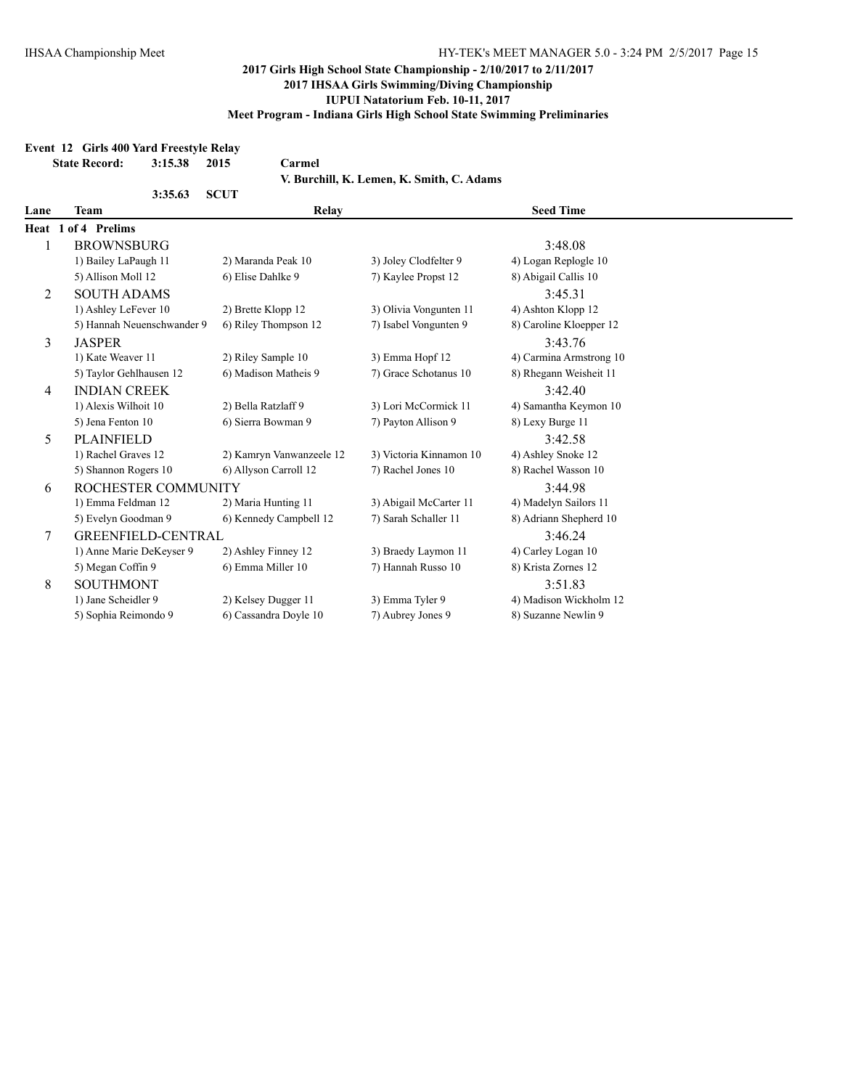#### **Event 12 Girls 400 Yard Freestyle Relay**

| <b>State Record:</b>                      | 2015        | Carmel                                                                                                                                                                                                                                                                                                                                                                     |                                                                                                                                                                                                                                                                                                                                                                                    |                         |  |  |  |
|-------------------------------------------|-------------|----------------------------------------------------------------------------------------------------------------------------------------------------------------------------------------------------------------------------------------------------------------------------------------------------------------------------------------------------------------------------|------------------------------------------------------------------------------------------------------------------------------------------------------------------------------------------------------------------------------------------------------------------------------------------------------------------------------------------------------------------------------------|-------------------------|--|--|--|
| V. Burchill, K. Lemen, K. Smith, C. Adams |             |                                                                                                                                                                                                                                                                                                                                                                            |                                                                                                                                                                                                                                                                                                                                                                                    |                         |  |  |  |
|                                           | <b>SCUT</b> |                                                                                                                                                                                                                                                                                                                                                                            |                                                                                                                                                                                                                                                                                                                                                                                    |                         |  |  |  |
| Team                                      |             | Relay                                                                                                                                                                                                                                                                                                                                                                      |                                                                                                                                                                                                                                                                                                                                                                                    | <b>Seed Time</b>        |  |  |  |
| of 4 Prelims<br>Heat 1                    |             |                                                                                                                                                                                                                                                                                                                                                                            |                                                                                                                                                                                                                                                                                                                                                                                    |                         |  |  |  |
|                                           |             |                                                                                                                                                                                                                                                                                                                                                                            |                                                                                                                                                                                                                                                                                                                                                                                    | 3:48.08                 |  |  |  |
|                                           |             |                                                                                                                                                                                                                                                                                                                                                                            | 3) Joley Clodfelter 9                                                                                                                                                                                                                                                                                                                                                              | 4) Logan Replogle 10    |  |  |  |
| 5) Allison Moll 12                        |             |                                                                                                                                                                                                                                                                                                                                                                            | 7) Kaylee Propst 12                                                                                                                                                                                                                                                                                                                                                                | 8) Abigail Callis 10    |  |  |  |
|                                           |             |                                                                                                                                                                                                                                                                                                                                                                            |                                                                                                                                                                                                                                                                                                                                                                                    | 3:45.31                 |  |  |  |
|                                           |             |                                                                                                                                                                                                                                                                                                                                                                            | 3) Olivia Vongunten 11                                                                                                                                                                                                                                                                                                                                                             | 4) Ashton Klopp 12      |  |  |  |
|                                           |             |                                                                                                                                                                                                                                                                                                                                                                            | 7) Isabel Vongunten 9                                                                                                                                                                                                                                                                                                                                                              | 8) Caroline Kloepper 12 |  |  |  |
| <b>JASPER</b>                             |             |                                                                                                                                                                                                                                                                                                                                                                            |                                                                                                                                                                                                                                                                                                                                                                                    | 3:43.76                 |  |  |  |
| 1) Kate Weaver 11                         |             |                                                                                                                                                                                                                                                                                                                                                                            | 3) Emma Hopf 12                                                                                                                                                                                                                                                                                                                                                                    | 4) Carmina Armstrong 10 |  |  |  |
|                                           |             |                                                                                                                                                                                                                                                                                                                                                                            | 7) Grace Schotanus 10                                                                                                                                                                                                                                                                                                                                                              | 8) Rhegann Weisheit 11  |  |  |  |
|                                           |             |                                                                                                                                                                                                                                                                                                                                                                            | 3:42.40                                                                                                                                                                                                                                                                                                                                                                            |                         |  |  |  |
| 1) Alexis Wilhoit 10                      |             |                                                                                                                                                                                                                                                                                                                                                                            | 3) Lori McCormick 11                                                                                                                                                                                                                                                                                                                                                               | 4) Samantha Keymon 10   |  |  |  |
| 5) Jena Fenton 10                         |             |                                                                                                                                                                                                                                                                                                                                                                            | 7) Payton Allison 9                                                                                                                                                                                                                                                                                                                                                                | 8) Lexy Burge 11        |  |  |  |
| <b>PLAINFIELD</b>                         |             |                                                                                                                                                                                                                                                                                                                                                                            |                                                                                                                                                                                                                                                                                                                                                                                    | 3:42.58                 |  |  |  |
| 1) Rachel Graves 12                       |             |                                                                                                                                                                                                                                                                                                                                                                            | 3) Victoria Kinnamon 10                                                                                                                                                                                                                                                                                                                                                            | 4) Ashley Snoke 12      |  |  |  |
|                                           |             |                                                                                                                                                                                                                                                                                                                                                                            | 7) Rachel Jones 10                                                                                                                                                                                                                                                                                                                                                                 | 8) Rachel Wasson 10     |  |  |  |
|                                           |             |                                                                                                                                                                                                                                                                                                                                                                            |                                                                                                                                                                                                                                                                                                                                                                                    | 3:44.98                 |  |  |  |
|                                           |             |                                                                                                                                                                                                                                                                                                                                                                            | 3) Abigail McCarter 11                                                                                                                                                                                                                                                                                                                                                             | 4) Madelyn Sailors 11   |  |  |  |
|                                           |             |                                                                                                                                                                                                                                                                                                                                                                            | 7) Sarah Schaller 11                                                                                                                                                                                                                                                                                                                                                               | 8) Adriann Shepherd 10  |  |  |  |
|                                           |             |                                                                                                                                                                                                                                                                                                                                                                            |                                                                                                                                                                                                                                                                                                                                                                                    | 3:46.24                 |  |  |  |
|                                           |             |                                                                                                                                                                                                                                                                                                                                                                            | 3) Braedy Laymon 11                                                                                                                                                                                                                                                                                                                                                                | 4) Carley Logan 10      |  |  |  |
| 5) Megan Coffin 9                         |             |                                                                                                                                                                                                                                                                                                                                                                            | 7) Hannah Russo 10                                                                                                                                                                                                                                                                                                                                                                 | 8) Krista Zornes 12     |  |  |  |
| <b>SOUTHMONT</b>                          |             |                                                                                                                                                                                                                                                                                                                                                                            |                                                                                                                                                                                                                                                                                                                                                                                    | 3:51.83                 |  |  |  |
| 1) Jane Scheidler 9                       |             |                                                                                                                                                                                                                                                                                                                                                                            | 3) Emma Tyler 9                                                                                                                                                                                                                                                                                                                                                                    | 4) Madison Wickholm 12  |  |  |  |
|                                           |             |                                                                                                                                                                                                                                                                                                                                                                            | 7) Aubrey Jones 9                                                                                                                                                                                                                                                                                                                                                                  | 8) Suzanne Newlin 9     |  |  |  |
|                                           |             | 3:15.38<br>3:35.63<br><b>BROWNSBURG</b><br>1) Bailey LaPaugh 11<br><b>SOUTH ADAMS</b><br>1) Ashley LeFever 10<br>5) Hannah Neuenschwander 9<br>5) Taylor Gehlhausen 12<br><b>INDIAN CREEK</b><br>5) Shannon Rogers 10<br>ROCHESTER COMMUNITY<br>1) Emma Feldman 12<br>5) Evelyn Goodman 9<br><b>GREENFIELD-CENTRAL</b><br>1) Anne Marie DeKeyser 9<br>5) Sophia Reimondo 9 | 2) Maranda Peak 10<br>6) Elise Dahlke 9<br>2) Brette Klopp 12<br>6) Riley Thompson 12<br>2) Riley Sample 10<br>6) Madison Matheis 9<br>2) Bella Ratzlaff 9<br>6) Sierra Bowman 9<br>2) Kamryn Vanwanzeele 12<br>6) Allyson Carroll 12<br>2) Maria Hunting 11<br>6) Kennedy Campbell 12<br>2) Ashley Finney 12<br>6) Emma Miller 10<br>2) Kelsey Dugger 11<br>6) Cassandra Doyle 10 |                         |  |  |  |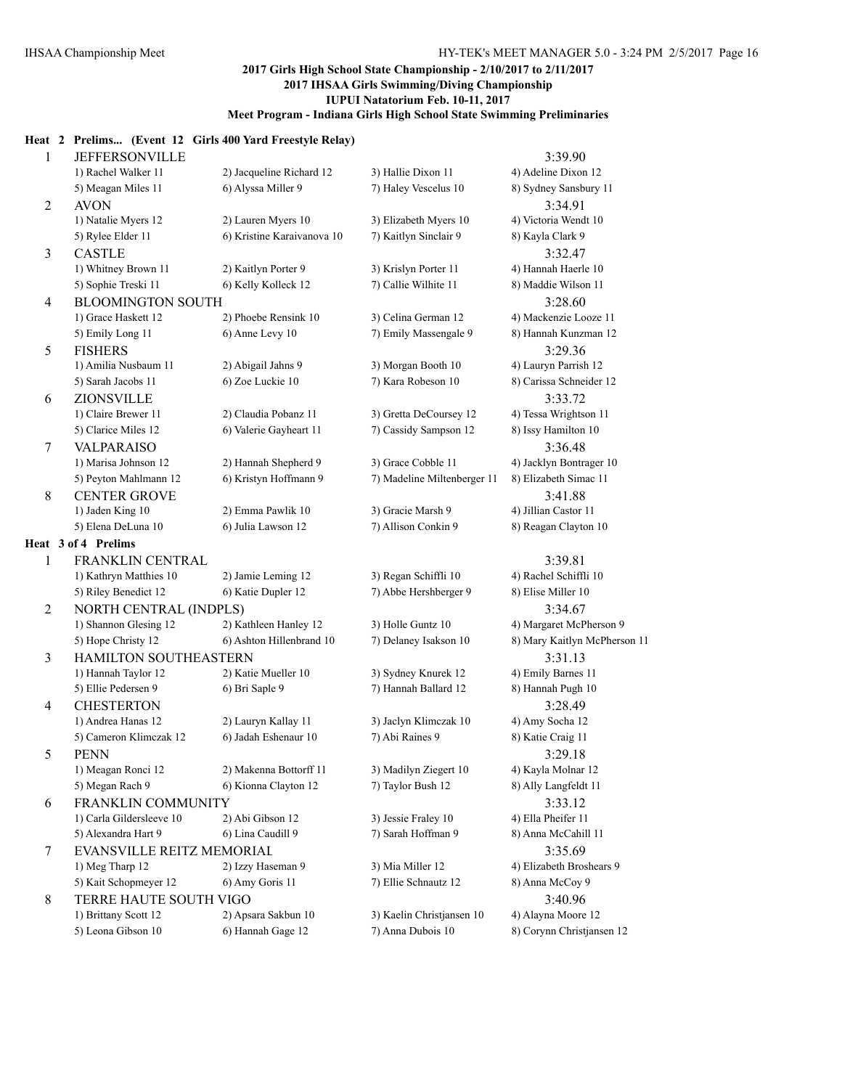#### **Heat 2 Prelims... (Event 12 Girls 400 Yard Freestyle Relay)**

| $\mathbf{1}$             | <b>JEFFERSONVILLE</b>                          |                                                |                                            | 3:39.90                      |
|--------------------------|------------------------------------------------|------------------------------------------------|--------------------------------------------|------------------------------|
|                          | 1) Rachel Walker 11                            | 2) Jacqueline Richard 12                       | 3) Hallie Dixon 11                         | 4) Adeline Dixon 12          |
|                          | 5) Meagan Miles 11                             | 6) Alyssa Miller 9                             | 7) Haley Vescelus 10                       | 8) Sydney Sansbury 11        |
| $\overline{2}$           | <b>AVON</b>                                    |                                                |                                            | 3:34.91                      |
|                          | 1) Natalie Myers 12                            | 2) Lauren Myers 10                             | 3) Elizabeth Myers 10                      | 4) Victoria Wendt 10         |
|                          | 5) Rylee Elder 11                              | 6) Kristine Karaivanova 10                     | 7) Kaitlyn Sinclair 9                      | 8) Kayla Clark 9             |
| $\mathfrak{Z}$           | <b>CASTLE</b>                                  |                                                |                                            | 3:32.47                      |
|                          | 1) Whitney Brown 11                            | 2) Kaitlyn Porter 9                            | 3) Krislyn Porter 11                       | 4) Hannah Haerle 10          |
|                          | 5) Sophie Treski 11                            | 6) Kelly Kolleck 12                            | 7) Callie Wilhite 11                       | 8) Maddie Wilson 11          |
| $\overline{4}$           | <b>BLOOMINGTON SOUTH</b>                       |                                                |                                            | 3:28.60                      |
|                          | 1) Grace Haskett 12                            | 2) Phoebe Rensink 10                           | 3) Celina German 12                        | 4) Mackenzie Looze 11        |
|                          | 5) Emily Long 11                               | 6) Anne Levy 10                                | 7) Emily Massengale 9                      | 8) Hannah Kunzman 12         |
| 5                        | <b>FISHERS</b>                                 |                                                |                                            | 3:29.36                      |
|                          | 1) Amilia Nusbaum 11                           | 2) Abigail Jahns 9                             | 3) Morgan Booth 10                         | 4) Lauryn Parrish 12         |
|                          | 5) Sarah Jacobs 11                             | 6) Zoe Luckie 10                               | 7) Kara Robeson 10                         | 8) Carissa Schneider 12      |
| 6                        | <b>ZIONSVILLE</b>                              |                                                |                                            | 3:33.72                      |
|                          | 1) Claire Brewer 11                            | 2) Claudia Pobanz 11                           | 3) Gretta DeCoursey 12                     | 4) Tessa Wrightson 11        |
|                          | 5) Clarice Miles 12                            | 6) Valerie Gayheart 11                         | 7) Cassidy Sampson 12                      | 8) Issy Hamilton 10          |
| 7                        | <b>VALPARAISO</b>                              |                                                |                                            | 3:36.48                      |
|                          | 1) Marisa Johnson 12                           | 2) Hannah Shepherd 9                           | 3) Grace Cobble 11                         | 4) Jacklyn Bontrager 10      |
|                          | 5) Peyton Mahlmann 12                          | 6) Kristyn Hoffmann 9                          | 7) Madeline Miltenberger 11                | 8) Elizabeth Simac 11        |
| $\,8\,$                  | <b>CENTER GROVE</b>                            |                                                |                                            | 3:41.88                      |
|                          | 1) Jaden King 10                               | 2) Emma Pawlik 10                              | 3) Gracie Marsh 9                          | 4) Jillian Castor 11         |
|                          | 5) Elena DeLuna 10                             | 6) Julia Lawson 12                             | 7) Allison Conkin 9                        | 8) Reagan Clayton 10         |
|                          | Heat 3 of 4 Prelims                            |                                                |                                            |                              |
| $\mathbf{1}$             | FRANKLIN CENTRAL                               |                                                |                                            | 3:39.81                      |
|                          | 1) Kathryn Matthies 10                         | 2) Jamie Leming 12                             | 3) Regan Schiffli 10                       | 4) Rachel Schiffli 10        |
|                          | 5) Riley Benedict 12                           | 6) Katie Dupler 12                             | 7) Abbe Hershberger 9                      | 8) Elise Miller 10           |
| 2                        | NORTH CENTRAL (INDPLS)                         |                                                |                                            | 3:34.67                      |
|                          | 1) Shannon Glesing 12                          | 2) Kathleen Hanley 12                          | 3) Holle Guntz 10                          | 4) Margaret McPherson 9      |
|                          | 5) Hope Christy 12                             | 6) Ashton Hillenbrand 10                       | 7) Delaney Isakson 10                      | 8) Mary Kaitlyn McPherson 11 |
| 3                        | HAMILTON SOUTHEASTERN                          |                                                |                                            | 3:31.13                      |
|                          | 1) Hannah Taylor 12                            | 2) Katie Mueller 10                            | 3) Sydney Knurek 12                        | 4) Emily Barnes 11           |
|                          | 5) Ellie Pedersen 9                            | 6) Bri Saple 9                                 | 7) Hannah Ballard 12                       | 8) Hannah Pugh 10            |
|                          | <b>CHESTERTON</b>                              |                                                |                                            | 3:28.49                      |
| $\overline{\mathcal{A}}$ | 1) Andrea Hanas 12                             | 2) Lauryn Kallay 11                            | 3) Jaclyn Klimczak 10                      | 4) Amy Socha 12              |
|                          | 5) Cameron Klimczak 12                         | 6) Jadah Eshenaur 10                           | 7) Abi Raines 9                            | 8) Katie Craig 11            |
|                          |                                                |                                                |                                            |                              |
| 5                        | <b>PENN</b>                                    |                                                |                                            | 3:29.18                      |
|                          | 1) Meagan Ronci 12                             | 2) Makenna Bottorff 11<br>6) Kionna Clayton 12 | 3) Madilyn Ziegert 10<br>7) Taylor Bush 12 | 4) Kayla Molnar 12           |
|                          | 5) Megan Rach 9                                |                                                |                                            | 8) Ally Langfeldt 11         |
| 6                        | FRANKLIN COMMUNITY<br>1) Carla Gildersleeve 10 |                                                |                                            | 3:33.12                      |
|                          |                                                | 2) Abi Gibson 12                               | 3) Jessie Fraley 10                        | 4) Ella Pheifer 11           |
|                          | 5) Alexandra Hart 9                            | 6) Lina Caudill 9                              | 7) Sarah Hoffman 9                         | 8) Anna McCahill 11          |
| 7                        | EVANSVILLE REITZ MEMORIAL                      |                                                |                                            | 3:35.69                      |
|                          | 1) Meg Tharp 12                                | 2) Izzy Haseman 9                              | 3) Mia Miller 12                           | 4) Elizabeth Broshears 9     |
|                          | 5) Kait Schopmeyer 12                          | 6) Amy Goris 11                                | 7) Ellie Schnautz 12                       | 8) Anna McCoy 9              |
| 8                        | TERRE HAUTE SOUTH VIGO                         |                                                |                                            | 3:40.96                      |
|                          | 1) Brittany Scott 12                           | 2) Apsara Sakbun 10                            | 3) Kaelin Christjansen 10                  | 4) Alayna Moore 12           |
|                          | 5) Leona Gibson 10                             | 6) Hannah Gage 12                              | 7) Anna Dubois 10                          | 8) Corynn Christjansen 12    |